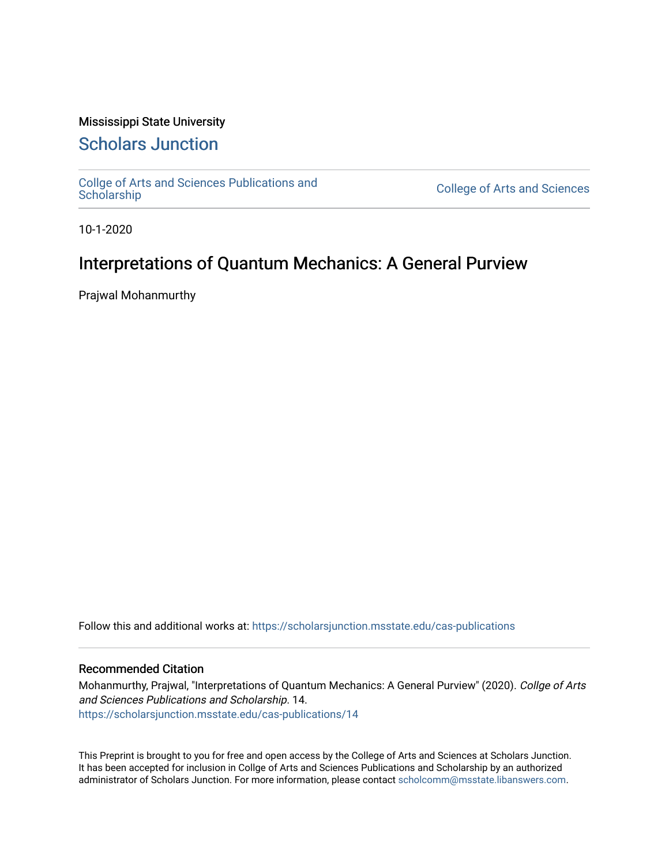### Mississippi State University

# [Scholars Junction](https://scholarsjunction.msstate.edu/)

[Collge of Arts and Sciences Publications and](https://scholarsjunction.msstate.edu/cas-publications) 

College of Arts and Sciences

10-1-2020

# Interpretations of Quantum Mechanics: A General Purview

Prajwal Mohanmurthy

Follow this and additional works at: [https://scholarsjunction.msstate.edu/cas-publications](https://scholarsjunction.msstate.edu/cas-publications?utm_source=scholarsjunction.msstate.edu%2Fcas-publications%2F14&utm_medium=PDF&utm_campaign=PDFCoverPages) 

### Recommended Citation

Mohanmurthy, Prajwal, "Interpretations of Quantum Mechanics: A General Purview" (2020). Collge of Arts and Sciences Publications and Scholarship. 14. [https://scholarsjunction.msstate.edu/cas-publications/14](https://scholarsjunction.msstate.edu/cas-publications/14?utm_source=scholarsjunction.msstate.edu%2Fcas-publications%2F14&utm_medium=PDF&utm_campaign=PDFCoverPages)

This Preprint is brought to you for free and open access by the College of Arts and Sciences at Scholars Junction. It has been accepted for inclusion in Collge of Arts and Sciences Publications and Scholarship by an authorized administrator of Scholars Junction. For more information, please contact [scholcomm@msstate.libanswers.com](mailto:scholcomm@msstate.libanswers.com).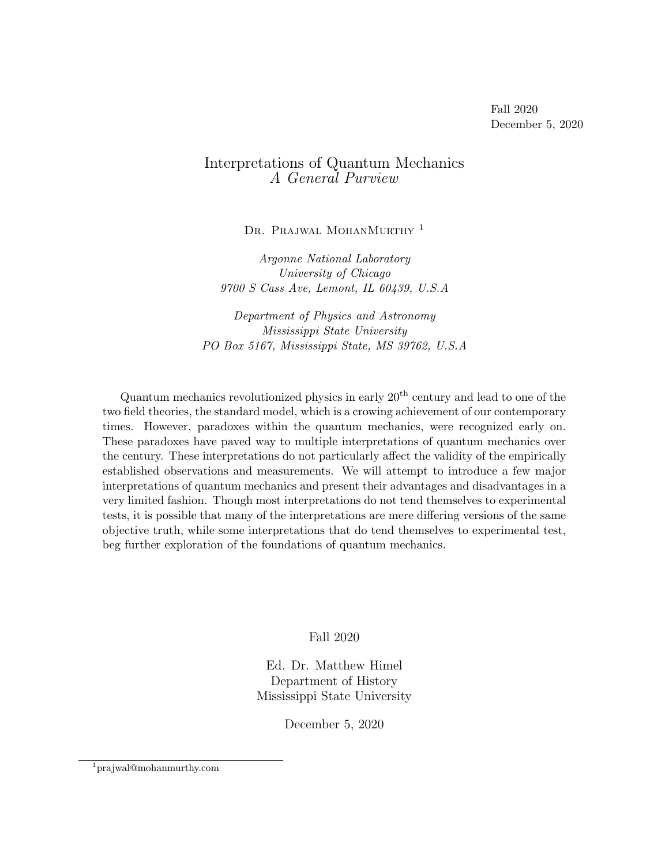### Interpretations of Quantum Mechanics A General Purview

DR. PRAJWAL MOHANMURTHY<sup>1</sup>

Argonne National Laboratory University of Chicago 9700 S Cass Ave, Lemont, IL 60439, U.S.A

Department of Physics and Astronomy Mississippi State University PO Box 5167, Mississippi State, MS 39762, U.S.A

Quantum mechanics revolutionized physics in early  $20<sup>th</sup>$  century and lead to one of the two field theories, the standard model, which is a crowing achievement of our contemporary times. However, paradoxes within the quantum mechanics, were recognized early on. These paradoxes have paved way to multiple interpretations of quantum mechanics over the century. These interpretations do not particularly affect the validity of the empirically established observations and measurements. We will attempt to introduce a few major interpretations of quantum mechanics and present their advantages and disadvantages in a very limited fashion. Though most interpretations do not tend themselves to experimental tests, it is possible that many of the interpretations are mere differing versions of the same objective truth, while some interpretations that do tend themselves to experimental test, beg further exploration of the foundations of quantum mechanics.

Fall 2020

Ed. Dr. Matthew Himel Department of History Mississippi State University

December 5, 2020

<sup>1</sup>prajwal@mohanmurthy.com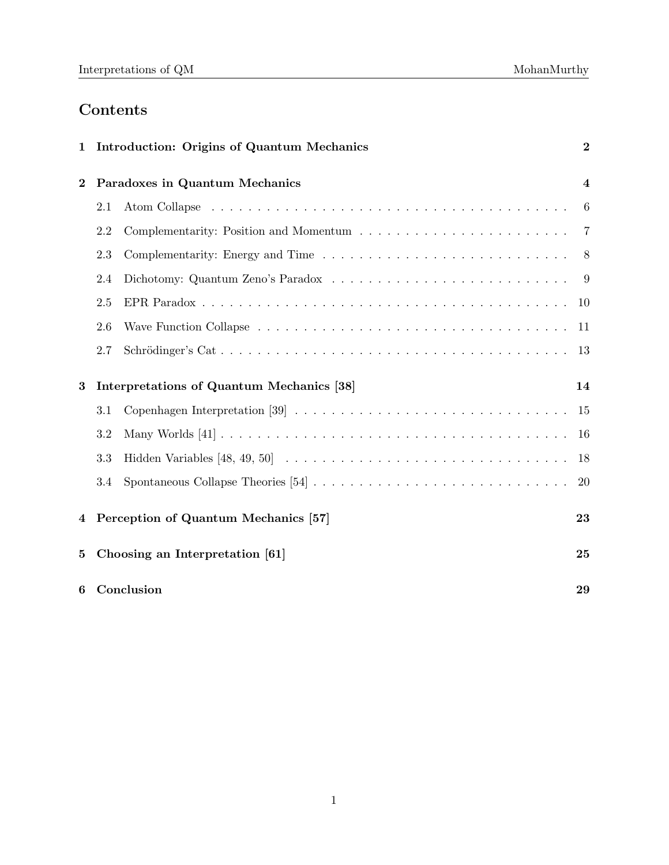# Contents

| 1        |                                           | <b>Introduction: Origins of Quantum Mechanics</b>                                                          | $\bf{2}$ |  |  |
|----------|-------------------------------------------|------------------------------------------------------------------------------------------------------------|----------|--|--|
| $\bf{2}$ | Paradoxes in Quantum Mechanics            |                                                                                                            |          |  |  |
|          | 2.1                                       |                                                                                                            | 6        |  |  |
|          | 2.2                                       |                                                                                                            | 7        |  |  |
|          | 2.3                                       |                                                                                                            | 8        |  |  |
|          | 2.4                                       |                                                                                                            | -9       |  |  |
|          | 2.5                                       |                                                                                                            | 10       |  |  |
|          | 2.6                                       |                                                                                                            | 11       |  |  |
|          | 2.7                                       |                                                                                                            | 13       |  |  |
| 3        | Interpretations of Quantum Mechanics [38] |                                                                                                            |          |  |  |
|          |                                           |                                                                                                            |          |  |  |
|          | 3.1                                       |                                                                                                            | 15       |  |  |
|          | 3.2                                       |                                                                                                            | 16       |  |  |
|          | 3.3                                       |                                                                                                            | 18       |  |  |
|          | 3.4                                       | Spontaneous Collapse Theories [54] $\ldots \ldots \ldots \ldots \ldots \ldots \ldots \ldots \ldots \ldots$ | 20       |  |  |
| 4        |                                           | Perception of Quantum Mechanics [57]                                                                       | 23       |  |  |
| 5        |                                           | Choosing an Interpretation [61]                                                                            | 25       |  |  |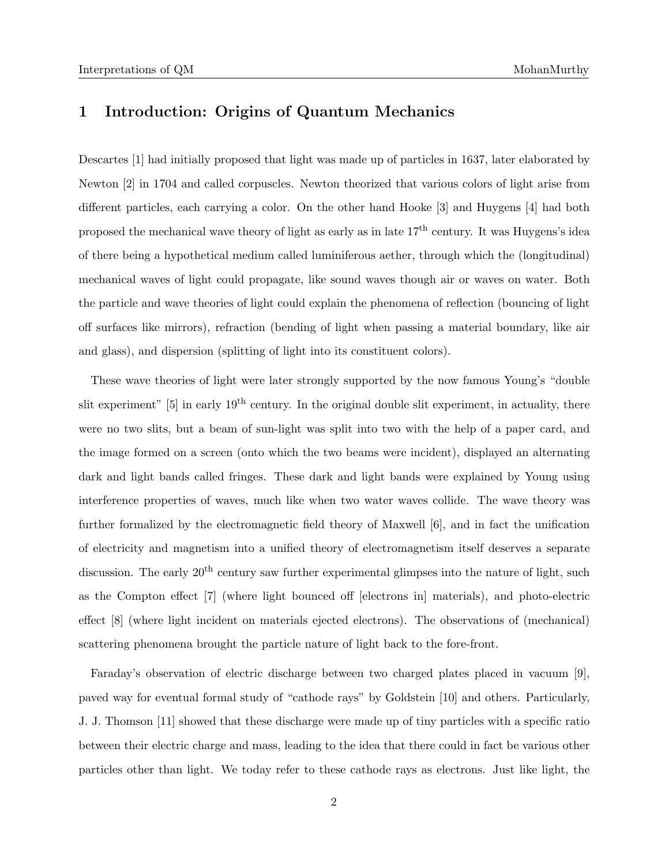## 1 Introduction: Origins of Quantum Mechanics

Descartes [1] had initially proposed that light was made up of particles in 1637, later elaborated by Newton [2] in 1704 and called corpuscles. Newton theorized that various colors of light arise from different particles, each carrying a color. On the other hand Hooke [3] and Huygens [4] had both proposed the mechanical wave theory of light as early as in late 17<sup>th</sup> century. It was Huygens's idea of there being a hypothetical medium called luminiferous aether, through which the (longitudinal) mechanical waves of light could propagate, like sound waves though air or waves on water. Both the particle and wave theories of light could explain the phenomena of reflection (bouncing of light off surfaces like mirrors), refraction (bending of light when passing a material boundary, like air and glass), and dispersion (splitting of light into its constituent colors).

These wave theories of light were later strongly supported by the now famous Young's "double slit experiment"  $[5]$  in early  $19<sup>th</sup>$  century. In the original double slit experiment, in actuality, there were no two slits, but a beam of sun-light was split into two with the help of a paper card, and the image formed on a screen (onto which the two beams were incident), displayed an alternating dark and light bands called fringes. These dark and light bands were explained by Young using interference properties of waves, much like when two water waves collide. The wave theory was further formalized by the electromagnetic field theory of Maxwell [6], and in fact the unification of electricity and magnetism into a unified theory of electromagnetism itself deserves a separate discussion. The early  $20<sup>th</sup>$  century saw further experimental glimpses into the nature of light, such as the Compton effect [7] (where light bounced off [electrons in] materials), and photo-electric effect [8] (where light incident on materials ejected electrons). The observations of (mechanical) scattering phenomena brought the particle nature of light back to the fore-front.

Faraday's observation of electric discharge between two charged plates placed in vacuum [9], paved way for eventual formal study of "cathode rays" by Goldstein [10] and others. Particularly, J. J. Thomson [11] showed that these discharge were made up of tiny particles with a specific ratio between their electric charge and mass, leading to the idea that there could in fact be various other particles other than light. We today refer to these cathode rays as electrons. Just like light, the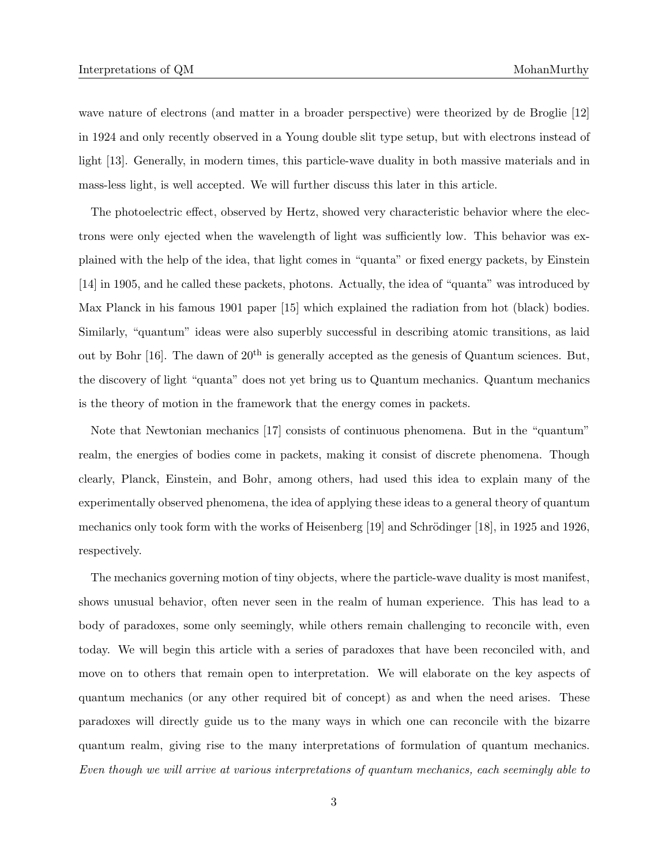wave nature of electrons (and matter in a broader perspective) were theorized by de Broglie [12] in 1924 and only recently observed in a Young double slit type setup, but with electrons instead of light [13]. Generally, in modern times, this particle-wave duality in both massive materials and in mass-less light, is well accepted. We will further discuss this later in this article.

The photoelectric effect, observed by Hertz, showed very characteristic behavior where the electrons were only ejected when the wavelength of light was sufficiently low. This behavior was explained with the help of the idea, that light comes in "quanta" or fixed energy packets, by Einstein [14] in 1905, and he called these packets, photons. Actually, the idea of "quanta" was introduced by Max Planck in his famous 1901 paper [15] which explained the radiation from hot (black) bodies. Similarly, "quantum" ideas were also superbly successful in describing atomic transitions, as laid out by Bohr [16]. The dawn of  $20<sup>th</sup>$  is generally accepted as the genesis of Quantum sciences. But, the discovery of light "quanta" does not yet bring us to Quantum mechanics. Quantum mechanics is the theory of motion in the framework that the energy comes in packets.

Note that Newtonian mechanics [17] consists of continuous phenomena. But in the "quantum" realm, the energies of bodies come in packets, making it consist of discrete phenomena. Though clearly, Planck, Einstein, and Bohr, among others, had used this idea to explain many of the experimentally observed phenomena, the idea of applying these ideas to a general theory of quantum mechanics only took form with the works of Heisenberg  $[19]$  and Schrödinger  $[18]$ , in 1925 and 1926, respectively.

The mechanics governing motion of tiny objects, where the particle-wave duality is most manifest, shows unusual behavior, often never seen in the realm of human experience. This has lead to a body of paradoxes, some only seemingly, while others remain challenging to reconcile with, even today. We will begin this article with a series of paradoxes that have been reconciled with, and move on to others that remain open to interpretation. We will elaborate on the key aspects of quantum mechanics (or any other required bit of concept) as and when the need arises. These paradoxes will directly guide us to the many ways in which one can reconcile with the bizarre quantum realm, giving rise to the many interpretations of formulation of quantum mechanics. Even though we will arrive at various interpretations of quantum mechanics, each seemingly able to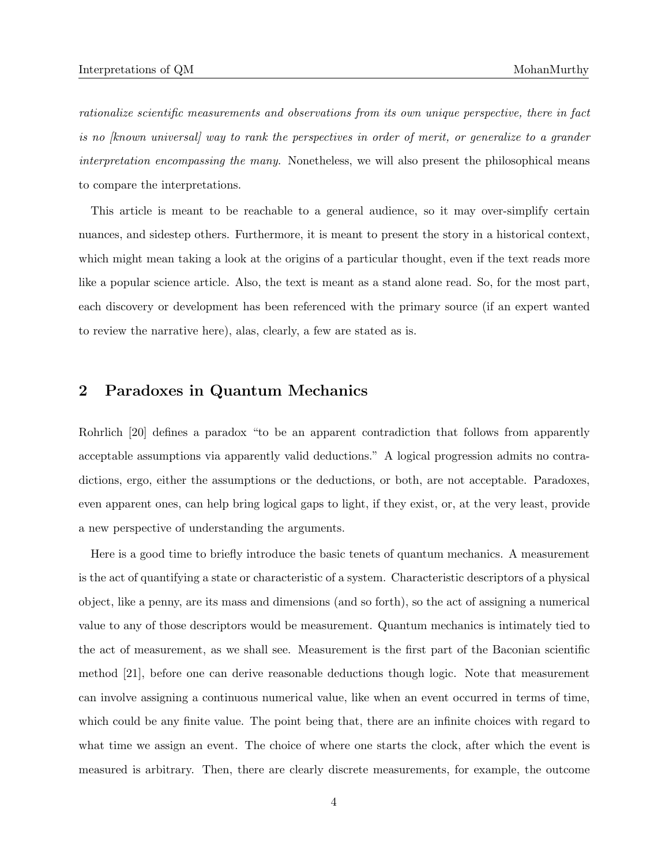rationalize scientific measurements and observations from its own unique perspective, there in fact is no [known universal] way to rank the perspectives in order of merit, or generalize to a grander interpretation encompassing the many. Nonetheless, we will also present the philosophical means to compare the interpretations.

This article is meant to be reachable to a general audience, so it may over-simplify certain nuances, and sidestep others. Furthermore, it is meant to present the story in a historical context, which might mean taking a look at the origins of a particular thought, even if the text reads more like a popular science article. Also, the text is meant as a stand alone read. So, for the most part, each discovery or development has been referenced with the primary source (if an expert wanted to review the narrative here), alas, clearly, a few are stated as is.

## 2 Paradoxes in Quantum Mechanics

Rohrlich [20] defines a paradox "to be an apparent contradiction that follows from apparently acceptable assumptions via apparently valid deductions." A logical progression admits no contradictions, ergo, either the assumptions or the deductions, or both, are not acceptable. Paradoxes, even apparent ones, can help bring logical gaps to light, if they exist, or, at the very least, provide a new perspective of understanding the arguments.

Here is a good time to briefly introduce the basic tenets of quantum mechanics. A measurement is the act of quantifying a state or characteristic of a system. Characteristic descriptors of a physical object, like a penny, are its mass and dimensions (and so forth), so the act of assigning a numerical value to any of those descriptors would be measurement. Quantum mechanics is intimately tied to the act of measurement, as we shall see. Measurement is the first part of the Baconian scientific method [21], before one can derive reasonable deductions though logic. Note that measurement can involve assigning a continuous numerical value, like when an event occurred in terms of time, which could be any finite value. The point being that, there are an infinite choices with regard to what time we assign an event. The choice of where one starts the clock, after which the event is measured is arbitrary. Then, there are clearly discrete measurements, for example, the outcome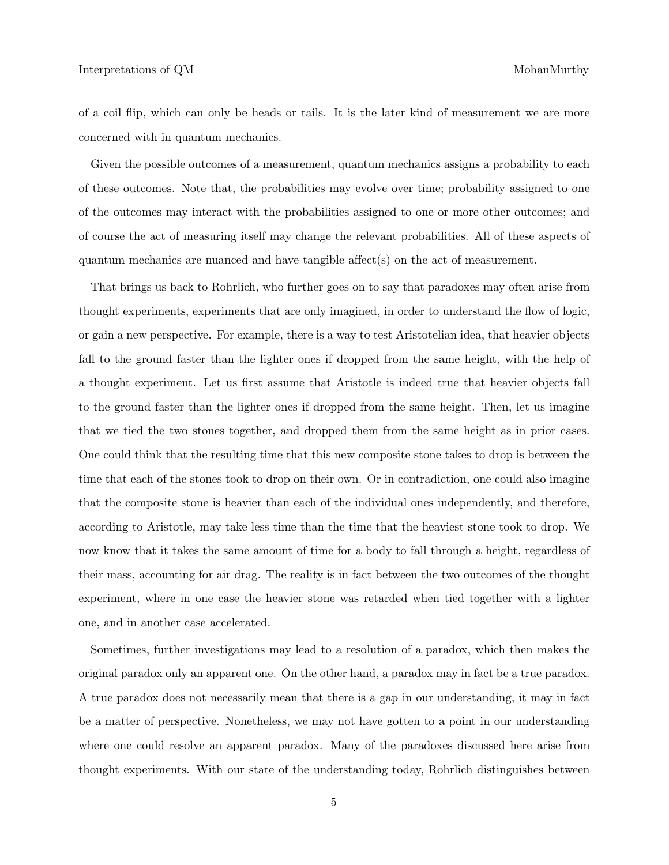of a coil flip, which can only be heads or tails. It is the later kind of measurement we are more concerned with in quantum mechanics.

Given the possible outcomes of a measurement, quantum mechanics assigns a probability to each of these outcomes. Note that, the probabilities may evolve over time; probability assigned to one of the outcomes may interact with the probabilities assigned to one or more other outcomes; and of course the act of measuring itself may change the relevant probabilities. All of these aspects of quantum mechanics are nuanced and have tangible affect(s) on the act of measurement.

That brings us back to Rohrlich, who further goes on to say that paradoxes may often arise from thought experiments, experiments that are only imagined, in order to understand the flow of logic, or gain a new perspective. For example, there is a way to test Aristotelian idea, that heavier objects fall to the ground faster than the lighter ones if dropped from the same height, with the help of a thought experiment. Let us first assume that Aristotle is indeed true that heavier objects fall to the ground faster than the lighter ones if dropped from the same height. Then, let us imagine that we tied the two stones together, and dropped them from the same height as in prior cases. One could think that the resulting time that this new composite stone takes to drop is between the time that each of the stones took to drop on their own. Or in contradiction, one could also imagine that the composite stone is heavier than each of the individual ones independently, and therefore, according to Aristotle, may take less time than the time that the heaviest stone took to drop. We now know that it takes the same amount of time for a body to fall through a height, regardless of their mass, accounting for air drag. The reality is in fact between the two outcomes of the thought experiment, where in one case the heavier stone was retarded when tied together with a lighter one, and in another case accelerated.

Sometimes, further investigations may lead to a resolution of a paradox, which then makes the original paradox only an apparent one. On the other hand, a paradox may in fact be a true paradox. A true paradox does not necessarily mean that there is a gap in our understanding, it may in fact be a matter of perspective. Nonetheless, we may not have gotten to a point in our understanding where one could resolve an apparent paradox. Many of the paradoxes discussed here arise from thought experiments. With our state of the understanding today, Rohrlich distinguishes between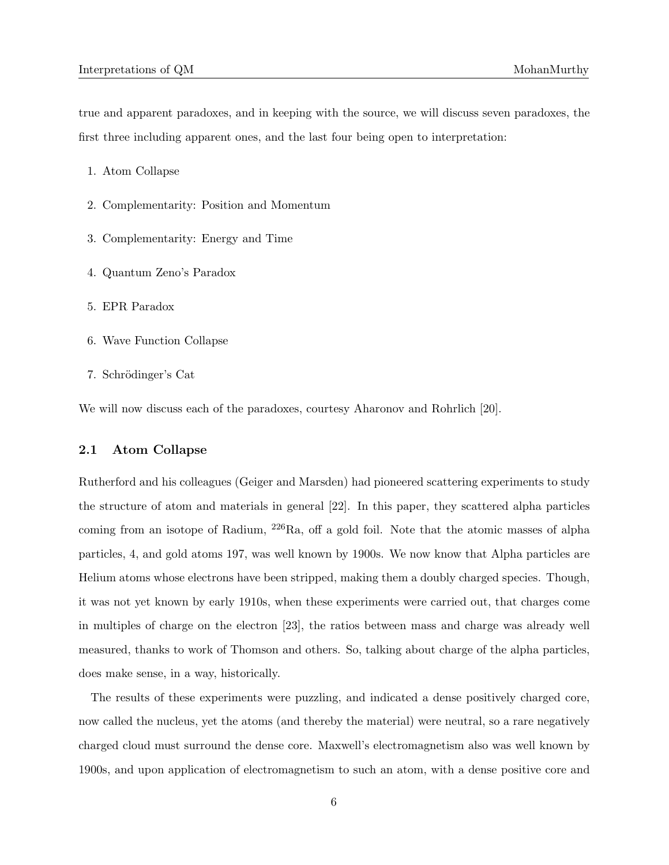true and apparent paradoxes, and in keeping with the source, we will discuss seven paradoxes, the first three including apparent ones, and the last four being open to interpretation:

- 1. Atom Collapse
- 2. Complementarity: Position and Momentum
- 3. Complementarity: Energy and Time
- 4. Quantum Zeno's Paradox
- 5. EPR Paradox
- 6. Wave Function Collapse
- 7. Schrödinger's Cat

We will now discuss each of the paradoxes, courtesy Aharonov and Rohrlich [20].

#### 2.1 Atom Collapse

Rutherford and his colleagues (Geiger and Marsden) had pioneered scattering experiments to study the structure of atom and materials in general [22]. In this paper, they scattered alpha particles coming from an isotope of Radium,  $^{226}$ Ra, off a gold foil. Note that the atomic masses of alpha particles, 4, and gold atoms 197, was well known by 1900s. We now know that Alpha particles are Helium atoms whose electrons have been stripped, making them a doubly charged species. Though, it was not yet known by early 1910s, when these experiments were carried out, that charges come in multiples of charge on the electron [23], the ratios between mass and charge was already well measured, thanks to work of Thomson and others. So, talking about charge of the alpha particles, does make sense, in a way, historically.

The results of these experiments were puzzling, and indicated a dense positively charged core, now called the nucleus, yet the atoms (and thereby the material) were neutral, so a rare negatively charged cloud must surround the dense core. Maxwell's electromagnetism also was well known by 1900s, and upon application of electromagnetism to such an atom, with a dense positive core and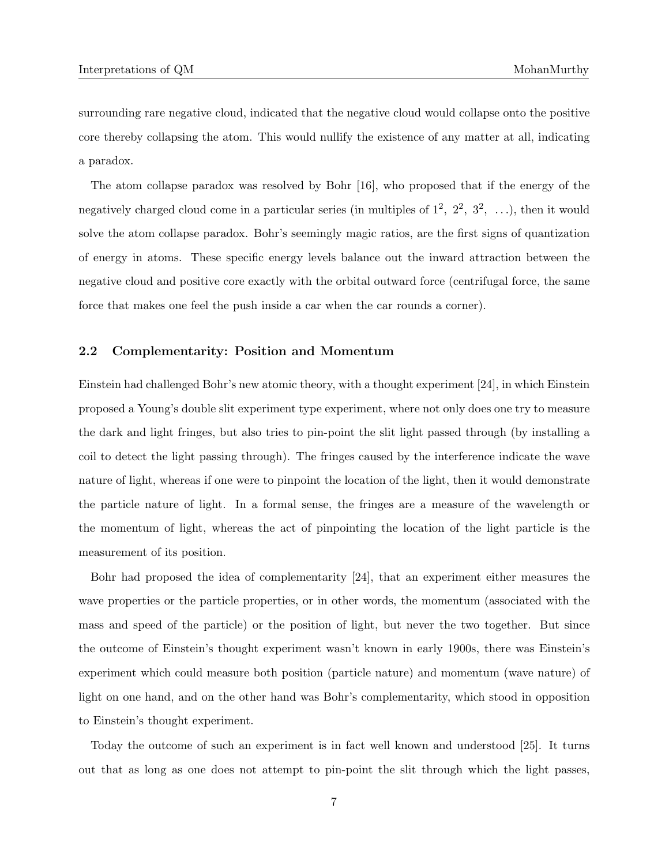surrounding rare negative cloud, indicated that the negative cloud would collapse onto the positive core thereby collapsing the atom. This would nullify the existence of any matter at all, indicating a paradox.

The atom collapse paradox was resolved by Bohr [16], who proposed that if the energy of the negatively charged cloud come in a particular series (in multiples of  $1^2$ ,  $2^2$ ,  $3^2$ , ...), then it would solve the atom collapse paradox. Bohr's seemingly magic ratios, are the first signs of quantization of energy in atoms. These specific energy levels balance out the inward attraction between the negative cloud and positive core exactly with the orbital outward force (centrifugal force, the same force that makes one feel the push inside a car when the car rounds a corner).

#### 2.2 Complementarity: Position and Momentum

Einstein had challenged Bohr's new atomic theory, with a thought experiment [24], in which Einstein proposed a Young's double slit experiment type experiment, where not only does one try to measure the dark and light fringes, but also tries to pin-point the slit light passed through (by installing a coil to detect the light passing through). The fringes caused by the interference indicate the wave nature of light, whereas if one were to pinpoint the location of the light, then it would demonstrate the particle nature of light. In a formal sense, the fringes are a measure of the wavelength or the momentum of light, whereas the act of pinpointing the location of the light particle is the measurement of its position.

Bohr had proposed the idea of complementarity [24], that an experiment either measures the wave properties or the particle properties, or in other words, the momentum (associated with the mass and speed of the particle) or the position of light, but never the two together. But since the outcome of Einstein's thought experiment wasn't known in early 1900s, there was Einstein's experiment which could measure both position (particle nature) and momentum (wave nature) of light on one hand, and on the other hand was Bohr's complementarity, which stood in opposition to Einstein's thought experiment.

Today the outcome of such an experiment is in fact well known and understood [25]. It turns out that as long as one does not attempt to pin-point the slit through which the light passes,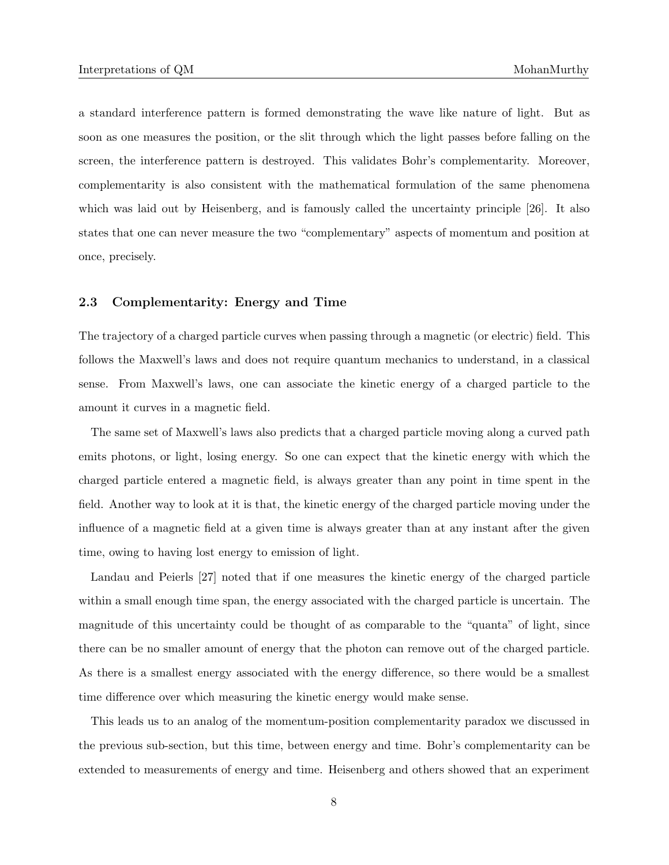a standard interference pattern is formed demonstrating the wave like nature of light. But as soon as one measures the position, or the slit through which the light passes before falling on the screen, the interference pattern is destroyed. This validates Bohr's complementarity. Moreover, complementarity is also consistent with the mathematical formulation of the same phenomena which was laid out by Heisenberg, and is famously called the uncertainty principle [26]. It also states that one can never measure the two "complementary" aspects of momentum and position at once, precisely.

#### 2.3 Complementarity: Energy and Time

The trajectory of a charged particle curves when passing through a magnetic (or electric) field. This follows the Maxwell's laws and does not require quantum mechanics to understand, in a classical sense. From Maxwell's laws, one can associate the kinetic energy of a charged particle to the amount it curves in a magnetic field.

The same set of Maxwell's laws also predicts that a charged particle moving along a curved path emits photons, or light, losing energy. So one can expect that the kinetic energy with which the charged particle entered a magnetic field, is always greater than any point in time spent in the field. Another way to look at it is that, the kinetic energy of the charged particle moving under the influence of a magnetic field at a given time is always greater than at any instant after the given time, owing to having lost energy to emission of light.

Landau and Peierls [27] noted that if one measures the kinetic energy of the charged particle within a small enough time span, the energy associated with the charged particle is uncertain. The magnitude of this uncertainty could be thought of as comparable to the "quanta" of light, since there can be no smaller amount of energy that the photon can remove out of the charged particle. As there is a smallest energy associated with the energy difference, so there would be a smallest time difference over which measuring the kinetic energy would make sense.

This leads us to an analog of the momentum-position complementarity paradox we discussed in the previous sub-section, but this time, between energy and time. Bohr's complementarity can be extended to measurements of energy and time. Heisenberg and others showed that an experiment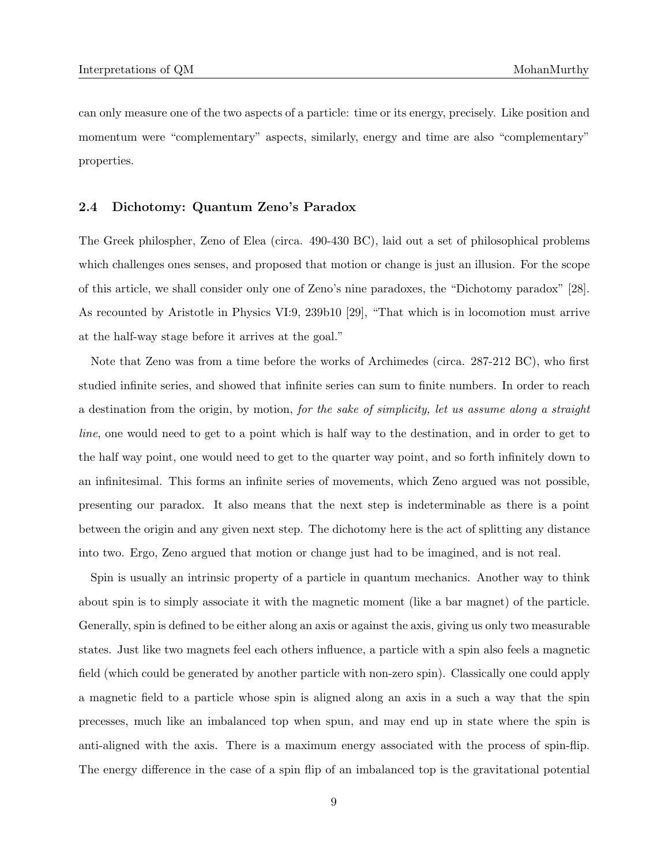can only measure one of the two aspects of a particle: time or its energy, precisely. Like position and momentum were "complementary" aspects, similarly, energy and time are also "complementary" properties.

#### 2.4 Dichotomy: Quantum Zeno's Paradox

The Greek philospher, Zeno of Elea (circa. 490-430 BC), laid out a set of philosophical problems which challenges ones senses, and proposed that motion or change is just an illusion. For the scope of this article, we shall consider only one of Zeno's nine paradoxes, the "Dichotomy paradox" [28]. As recounted by Aristotle in Physics VI:9, 239b10 [29], "That which is in locomotion must arrive at the half-way stage before it arrives at the goal."

Note that Zeno was from a time before the works of Archimedes (circa. 287-212 BC), who first studied infinite series, and showed that infinite series can sum to finite numbers. In order to reach a destination from the origin, by motion, for the sake of simplicity, let us assume along a straight line, one would need to get to a point which is half way to the destination, and in order to get to the half way point, one would need to get to the quarter way point, and so forth infinitely down to an infinitesimal. This forms an infinite series of movements, which Zeno argued was not possible, presenting our paradox. It also means that the next step is indeterminable as there is a point between the origin and any given next step. The dichotomy here is the act of splitting any distance into two. Ergo, Zeno argued that motion or change just had to be imagined, and is not real.

Spin is usually an intrinsic property of a particle in quantum mechanics. Another way to think about spin is to simply associate it with the magnetic moment (like a bar magnet) of the particle. Generally, spin is defined to be either along an axis or against the axis, giving us only two measurable states. Just like two magnets feel each others influence, a particle with a spin also feels a magnetic field (which could be generated by another particle with non-zero spin). Classically one could apply a magnetic field to a particle whose spin is aligned along an axis in a such a way that the spin precesses, much like an imbalanced top when spun, and may end up in state where the spin is anti-aligned with the axis. There is a maximum energy associated with the process of spin-flip. The energy difference in the case of a spin flip of an imbalanced top is the gravitational potential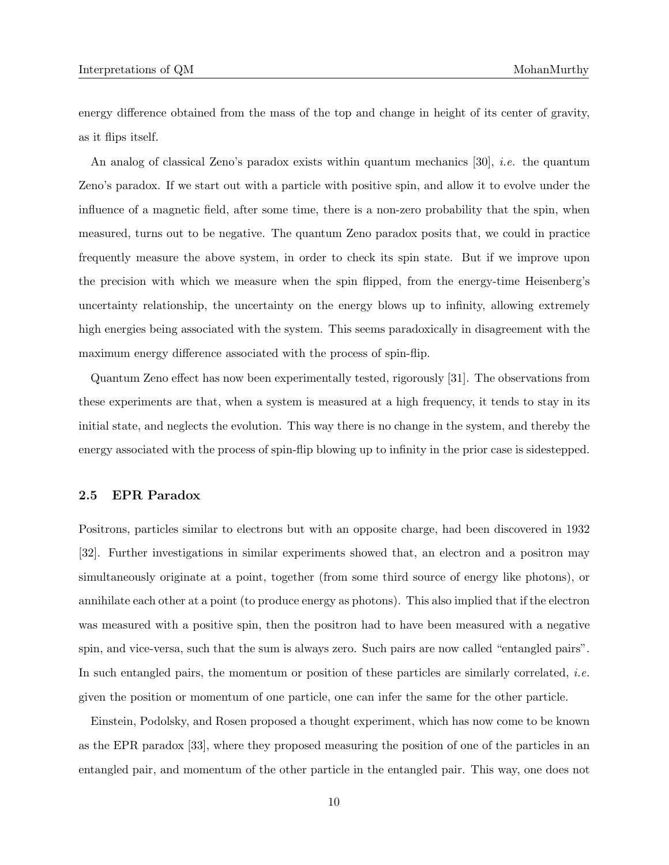energy difference obtained from the mass of the top and change in height of its center of gravity, as it flips itself.

An analog of classical Zeno's paradox exists within quantum mechanics [30], *i.e.* the quantum Zeno's paradox. If we start out with a particle with positive spin, and allow it to evolve under the influence of a magnetic field, after some time, there is a non-zero probability that the spin, when measured, turns out to be negative. The quantum Zeno paradox posits that, we could in practice frequently measure the above system, in order to check its spin state. But if we improve upon the precision with which we measure when the spin flipped, from the energy-time Heisenberg's uncertainty relationship, the uncertainty on the energy blows up to infinity, allowing extremely high energies being associated with the system. This seems paradoxically in disagreement with the maximum energy difference associated with the process of spin-flip.

Quantum Zeno effect has now been experimentally tested, rigorously [31]. The observations from these experiments are that, when a system is measured at a high frequency, it tends to stay in its initial state, and neglects the evolution. This way there is no change in the system, and thereby the energy associated with the process of spin-flip blowing up to infinity in the prior case is sidestepped.

#### 2.5 EPR Paradox

Positrons, particles similar to electrons but with an opposite charge, had been discovered in 1932 [32]. Further investigations in similar experiments showed that, an electron and a positron may simultaneously originate at a point, together (from some third source of energy like photons), or annihilate each other at a point (to produce energy as photons). This also implied that if the electron was measured with a positive spin, then the positron had to have been measured with a negative spin, and vice-versa, such that the sum is always zero. Such pairs are now called "entangled pairs". In such entangled pairs, the momentum or position of these particles are similarly correlated, *i.e.* given the position or momentum of one particle, one can infer the same for the other particle.

Einstein, Podolsky, and Rosen proposed a thought experiment, which has now come to be known as the EPR paradox [33], where they proposed measuring the position of one of the particles in an entangled pair, and momentum of the other particle in the entangled pair. This way, one does not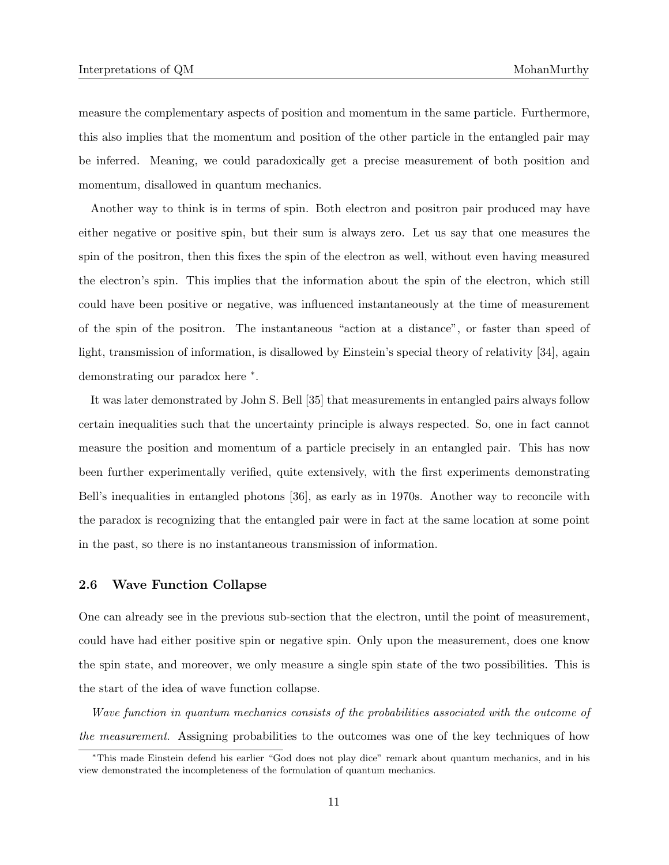measure the complementary aspects of position and momentum in the same particle. Furthermore, this also implies that the momentum and position of the other particle in the entangled pair may be inferred. Meaning, we could paradoxically get a precise measurement of both position and momentum, disallowed in quantum mechanics.

Another way to think is in terms of spin. Both electron and positron pair produced may have either negative or positive spin, but their sum is always zero. Let us say that one measures the spin of the positron, then this fixes the spin of the electron as well, without even having measured the electron's spin. This implies that the information about the spin of the electron, which still could have been positive or negative, was influenced instantaneously at the time of measurement of the spin of the positron. The instantaneous "action at a distance", or faster than speed of light, transmission of information, is disallowed by Einstein's special theory of relativity [34], again demonstrating our paradox here <sup>∗</sup> .

It was later demonstrated by John S. Bell [35] that measurements in entangled pairs always follow certain inequalities such that the uncertainty principle is always respected. So, one in fact cannot measure the position and momentum of a particle precisely in an entangled pair. This has now been further experimentally verified, quite extensively, with the first experiments demonstrating Bell's inequalities in entangled photons [36], as early as in 1970s. Another way to reconcile with the paradox is recognizing that the entangled pair were in fact at the same location at some point in the past, so there is no instantaneous transmission of information.

#### 2.6 Wave Function Collapse

One can already see in the previous sub-section that the electron, until the point of measurement, could have had either positive spin or negative spin. Only upon the measurement, does one know the spin state, and moreover, we only measure a single spin state of the two possibilities. This is the start of the idea of wave function collapse.

Wave function in quantum mechanics consists of the probabilities associated with the outcome of the measurement. Assigning probabilities to the outcomes was one of the key techniques of how

<sup>∗</sup>This made Einstein defend his earlier "God does not play dice" remark about quantum mechanics, and in his view demonstrated the incompleteness of the formulation of quantum mechanics.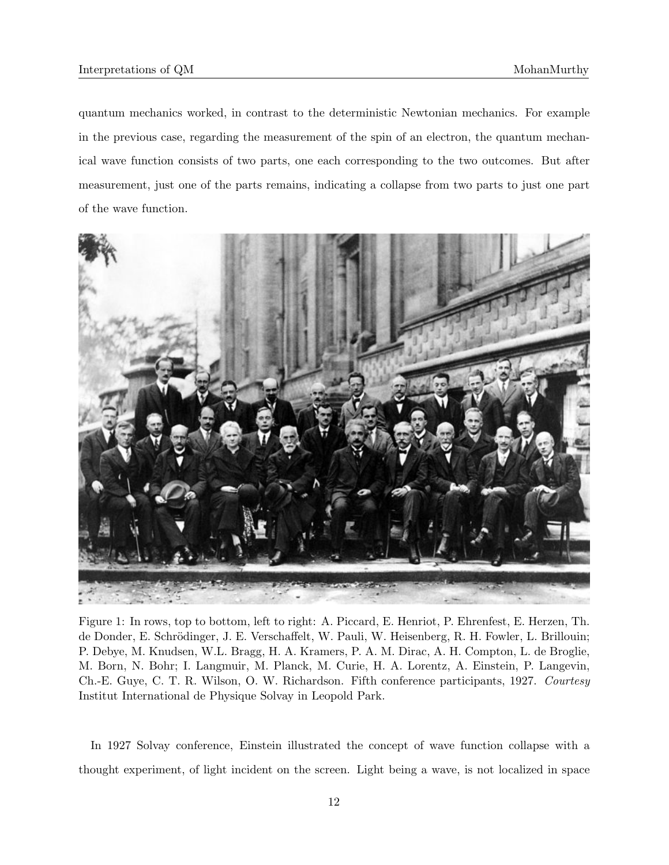quantum mechanics worked, in contrast to the deterministic Newtonian mechanics. For example in the previous case, regarding the measurement of the spin of an electron, the quantum mechanical wave function consists of two parts, one each corresponding to the two outcomes. But after measurement, just one of the parts remains, indicating a collapse from two parts to just one part of the wave function.



Figure 1: In rows, top to bottom, left to right: A. Piccard, E. Henriot, P. Ehrenfest, E. Herzen, Th. de Donder, E. Schrödinger, J. E. Verschaffelt, W. Pauli, W. Heisenberg, R. H. Fowler, L. Brillouin; P. Debye, M. Knudsen, W.L. Bragg, H. A. Kramers, P. A. M. Dirac, A. H. Compton, L. de Broglie, M. Born, N. Bohr; I. Langmuir, M. Planck, M. Curie, H. A. Lorentz, A. Einstein, P. Langevin, Ch.-E. Guye, C. T. R. Wilson, O. W. Richardson. Fifth conference participants, 1927. Courtesy Institut International de Physique Solvay in Leopold Park.

In 1927 Solvay conference, Einstein illustrated the concept of wave function collapse with a thought experiment, of light incident on the screen. Light being a wave, is not localized in space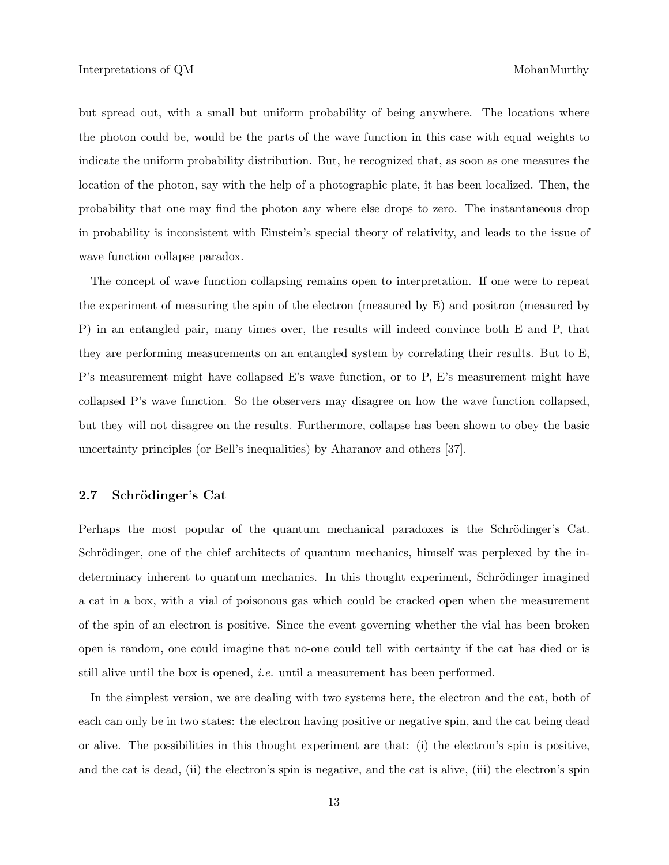but spread out, with a small but uniform probability of being anywhere. The locations where the photon could be, would be the parts of the wave function in this case with equal weights to indicate the uniform probability distribution. But, he recognized that, as soon as one measures the location of the photon, say with the help of a photographic plate, it has been localized. Then, the probability that one may find the photon any where else drops to zero. The instantaneous drop in probability is inconsistent with Einstein's special theory of relativity, and leads to the issue of wave function collapse paradox.

The concept of wave function collapsing remains open to interpretation. If one were to repeat the experiment of measuring the spin of the electron (measured by E) and positron (measured by P) in an entangled pair, many times over, the results will indeed convince both E and P, that they are performing measurements on an entangled system by correlating their results. But to E, P's measurement might have collapsed E's wave function, or to P, E's measurement might have collapsed P's wave function. So the observers may disagree on how the wave function collapsed, but they will not disagree on the results. Furthermore, collapse has been shown to obey the basic uncertainty principles (or Bell's inequalities) by Aharanov and others [37].

#### 2.7 Schrödinger's Cat

Perhaps the most popular of the quantum mechanical paradoxes is the Schrödinger's Cat. Schrödinger, one of the chief architects of quantum mechanics, himself was perplexed by the indeterminacy inherent to quantum mechanics. In this thought experiment, Schrödinger imagined a cat in a box, with a vial of poisonous gas which could be cracked open when the measurement of the spin of an electron is positive. Since the event governing whether the vial has been broken open is random, one could imagine that no-one could tell with certainty if the cat has died or is still alive until the box is opened, i.e. until a measurement has been performed.

In the simplest version, we are dealing with two systems here, the electron and the cat, both of each can only be in two states: the electron having positive or negative spin, and the cat being dead or alive. The possibilities in this thought experiment are that: (i) the electron's spin is positive, and the cat is dead, (ii) the electron's spin is negative, and the cat is alive, (iii) the electron's spin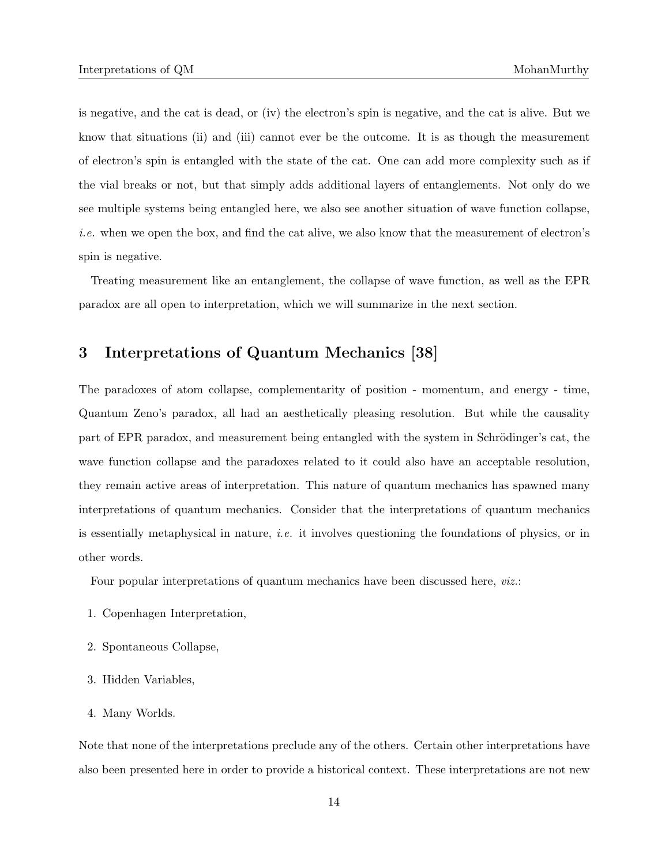is negative, and the cat is dead, or (iv) the electron's spin is negative, and the cat is alive. But we know that situations (ii) and (iii) cannot ever be the outcome. It is as though the measurement of electron's spin is entangled with the state of the cat. One can add more complexity such as if the vial breaks or not, but that simply adds additional layers of entanglements. Not only do we see multiple systems being entangled here, we also see another situation of wave function collapse, i.e. when we open the box, and find the cat alive, we also know that the measurement of electron's spin is negative.

Treating measurement like an entanglement, the collapse of wave function, as well as the EPR paradox are all open to interpretation, which we will summarize in the next section.

### 3 Interpretations of Quantum Mechanics [38]

The paradoxes of atom collapse, complementarity of position - momentum, and energy - time, Quantum Zeno's paradox, all had an aesthetically pleasing resolution. But while the causality part of EPR paradox, and measurement being entangled with the system in Schrödinger's cat, the wave function collapse and the paradoxes related to it could also have an acceptable resolution, they remain active areas of interpretation. This nature of quantum mechanics has spawned many interpretations of quantum mechanics. Consider that the interpretations of quantum mechanics is essentially metaphysical in nature, i.e. it involves questioning the foundations of physics, or in other words.

Four popular interpretations of quantum mechanics have been discussed here, *viz.*:

- 1. Copenhagen Interpretation,
- 2. Spontaneous Collapse,
- 3. Hidden Variables,
- 4. Many Worlds.

Note that none of the interpretations preclude any of the others. Certain other interpretations have also been presented here in order to provide a historical context. These interpretations are not new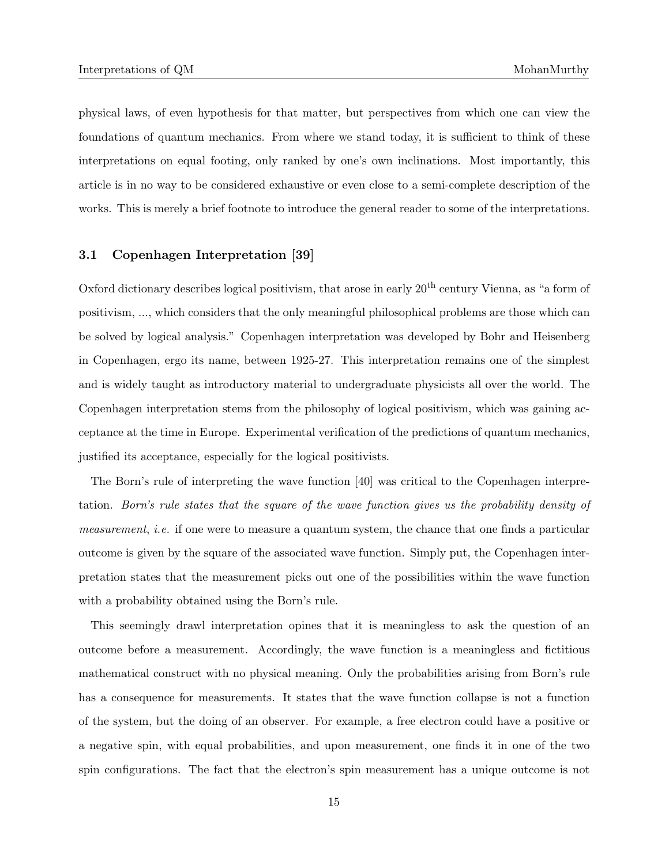physical laws, of even hypothesis for that matter, but perspectives from which one can view the foundations of quantum mechanics. From where we stand today, it is sufficient to think of these interpretations on equal footing, only ranked by one's own inclinations. Most importantly, this article is in no way to be considered exhaustive or even close to a semi-complete description of the works. This is merely a brief footnote to introduce the general reader to some of the interpretations.

### 3.1 Copenhagen Interpretation [39]

Oxford dictionary describes logical positivism, that arose in early  $20<sup>th</sup>$  century Vienna, as "a form of positivism, ..., which considers that the only meaningful philosophical problems are those which can be solved by logical analysis." Copenhagen interpretation was developed by Bohr and Heisenberg in Copenhagen, ergo its name, between 1925-27. This interpretation remains one of the simplest and is widely taught as introductory material to undergraduate physicists all over the world. The Copenhagen interpretation stems from the philosophy of logical positivism, which was gaining acceptance at the time in Europe. Experimental verification of the predictions of quantum mechanics, justified its acceptance, especially for the logical positivists.

The Born's rule of interpreting the wave function [40] was critical to the Copenhagen interpretation. Born's rule states that the square of the wave function gives us the probability density of measurement, i.e. if one were to measure a quantum system, the chance that one finds a particular outcome is given by the square of the associated wave function. Simply put, the Copenhagen interpretation states that the measurement picks out one of the possibilities within the wave function with a probability obtained using the Born's rule.

This seemingly drawl interpretation opines that it is meaningless to ask the question of an outcome before a measurement. Accordingly, the wave function is a meaningless and fictitious mathematical construct with no physical meaning. Only the probabilities arising from Born's rule has a consequence for measurements. It states that the wave function collapse is not a function of the system, but the doing of an observer. For example, a free electron could have a positive or a negative spin, with equal probabilities, and upon measurement, one finds it in one of the two spin configurations. The fact that the electron's spin measurement has a unique outcome is not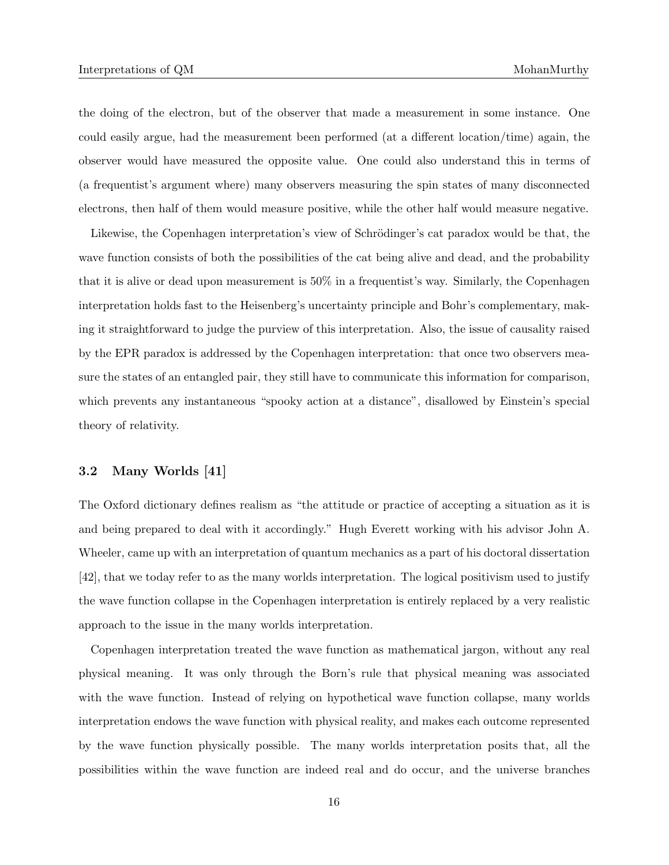the doing of the electron, but of the observer that made a measurement in some instance. One could easily argue, had the measurement been performed (at a different location/time) again, the observer would have measured the opposite value. One could also understand this in terms of (a frequentist's argument where) many observers measuring the spin states of many disconnected electrons, then half of them would measure positive, while the other half would measure negative.

Likewise, the Copenhagen interpretation's view of Schrödinger's cat paradox would be that, the wave function consists of both the possibilities of the cat being alive and dead, and the probability that it is alive or dead upon measurement is 50% in a frequentist's way. Similarly, the Copenhagen interpretation holds fast to the Heisenberg's uncertainty principle and Bohr's complementary, making it straightforward to judge the purview of this interpretation. Also, the issue of causality raised by the EPR paradox is addressed by the Copenhagen interpretation: that once two observers measure the states of an entangled pair, they still have to communicate this information for comparison, which prevents any instantaneous "spooky action at a distance", disallowed by Einstein's special theory of relativity.

#### 3.2 Many Worlds [41]

The Oxford dictionary defines realism as "the attitude or practice of accepting a situation as it is and being prepared to deal with it accordingly." Hugh Everett working with his advisor John A. Wheeler, came up with an interpretation of quantum mechanics as a part of his doctoral dissertation [42], that we today refer to as the many worlds interpretation. The logical positivism used to justify the wave function collapse in the Copenhagen interpretation is entirely replaced by a very realistic approach to the issue in the many worlds interpretation.

Copenhagen interpretation treated the wave function as mathematical jargon, without any real physical meaning. It was only through the Born's rule that physical meaning was associated with the wave function. Instead of relying on hypothetical wave function collapse, many worlds interpretation endows the wave function with physical reality, and makes each outcome represented by the wave function physically possible. The many worlds interpretation posits that, all the possibilities within the wave function are indeed real and do occur, and the universe branches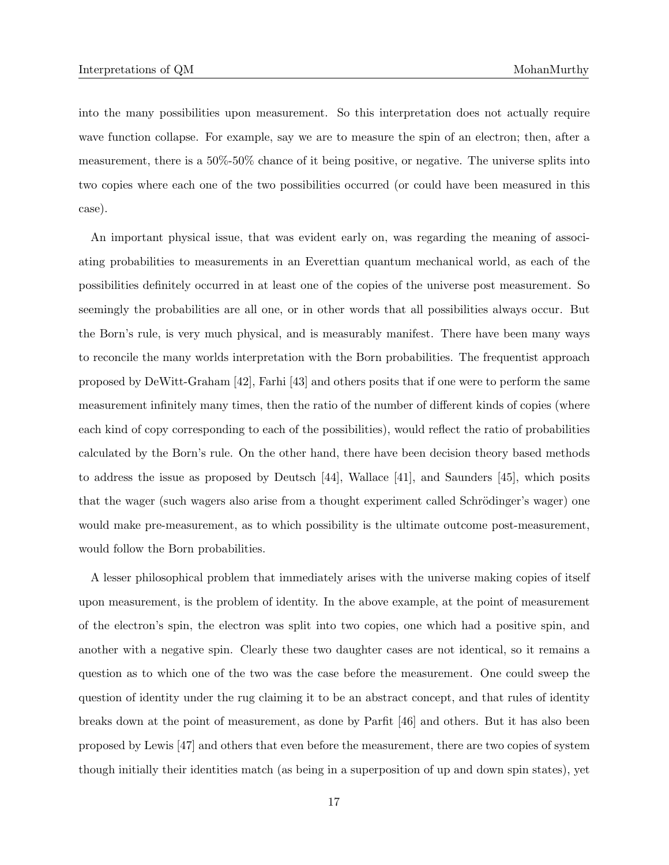into the many possibilities upon measurement. So this interpretation does not actually require wave function collapse. For example, say we are to measure the spin of an electron; then, after a measurement, there is a 50%-50% chance of it being positive, or negative. The universe splits into two copies where each one of the two possibilities occurred (or could have been measured in this case).

An important physical issue, that was evident early on, was regarding the meaning of associating probabilities to measurements in an Everettian quantum mechanical world, as each of the possibilities definitely occurred in at least one of the copies of the universe post measurement. So seemingly the probabilities are all one, or in other words that all possibilities always occur. But the Born's rule, is very much physical, and is measurably manifest. There have been many ways to reconcile the many worlds interpretation with the Born probabilities. The frequentist approach proposed by DeWitt-Graham [42], Farhi [43] and others posits that if one were to perform the same measurement infinitely many times, then the ratio of the number of different kinds of copies (where each kind of copy corresponding to each of the possibilities), would reflect the ratio of probabilities calculated by the Born's rule. On the other hand, there have been decision theory based methods to address the issue as proposed by Deutsch [44], Wallace [41], and Saunders [45], which posits that the wager (such wagers also arise from a thought experiment called Schrödinger's wager) one would make pre-measurement, as to which possibility is the ultimate outcome post-measurement, would follow the Born probabilities.

A lesser philosophical problem that immediately arises with the universe making copies of itself upon measurement, is the problem of identity. In the above example, at the point of measurement of the electron's spin, the electron was split into two copies, one which had a positive spin, and another with a negative spin. Clearly these two daughter cases are not identical, so it remains a question as to which one of the two was the case before the measurement. One could sweep the question of identity under the rug claiming it to be an abstract concept, and that rules of identity breaks down at the point of measurement, as done by Parfit [46] and others. But it has also been proposed by Lewis [47] and others that even before the measurement, there are two copies of system though initially their identities match (as being in a superposition of up and down spin states), yet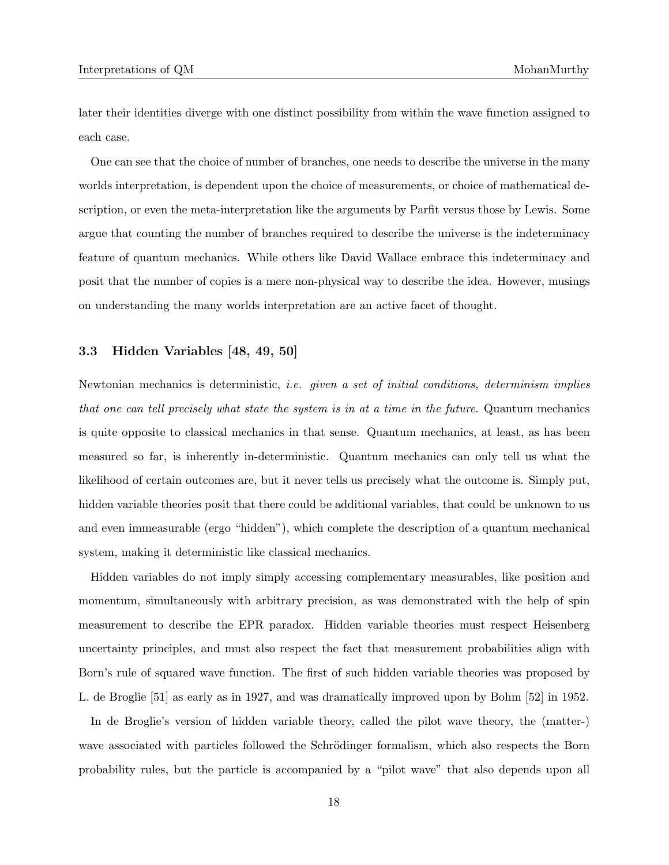later their identities diverge with one distinct possibility from within the wave function assigned to each case.

One can see that the choice of number of branches, one needs to describe the universe in the many worlds interpretation, is dependent upon the choice of measurements, or choice of mathematical description, or even the meta-interpretation like the arguments by Parfit versus those by Lewis. Some argue that counting the number of branches required to describe the universe is the indeterminacy feature of quantum mechanics. While others like David Wallace embrace this indeterminacy and posit that the number of copies is a mere non-physical way to describe the idea. However, musings on understanding the many worlds interpretation are an active facet of thought.

#### 3.3 Hidden Variables [48, 49, 50]

Newtonian mechanics is deterministic, i.e. given a set of initial conditions, determinism implies that one can tell precisely what state the system is in at a time in the future. Quantum mechanics is quite opposite to classical mechanics in that sense. Quantum mechanics, at least, as has been measured so far, is inherently in-deterministic. Quantum mechanics can only tell us what the likelihood of certain outcomes are, but it never tells us precisely what the outcome is. Simply put, hidden variable theories posit that there could be additional variables, that could be unknown to us and even immeasurable (ergo "hidden"), which complete the description of a quantum mechanical system, making it deterministic like classical mechanics.

Hidden variables do not imply simply accessing complementary measurables, like position and momentum, simultaneously with arbitrary precision, as was demonstrated with the help of spin measurement to describe the EPR paradox. Hidden variable theories must respect Heisenberg uncertainty principles, and must also respect the fact that measurement probabilities align with Born's rule of squared wave function. The first of such hidden variable theories was proposed by L. de Broglie [51] as early as in 1927, and was dramatically improved upon by Bohm [52] in 1952.

In de Broglie's version of hidden variable theory, called the pilot wave theory, the (matter-) wave associated with particles followed the Schrödinger formalism, which also respects the Born probability rules, but the particle is accompanied by a "pilot wave" that also depends upon all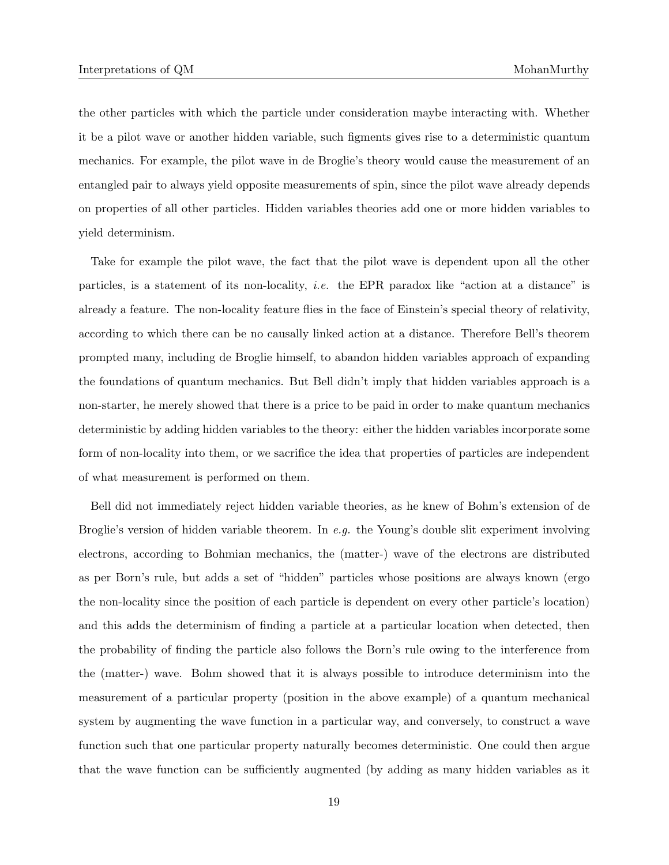the other particles with which the particle under consideration maybe interacting with. Whether it be a pilot wave or another hidden variable, such figments gives rise to a deterministic quantum mechanics. For example, the pilot wave in de Broglie's theory would cause the measurement of an entangled pair to always yield opposite measurements of spin, since the pilot wave already depends on properties of all other particles. Hidden variables theories add one or more hidden variables to yield determinism.

Take for example the pilot wave, the fact that the pilot wave is dependent upon all the other particles, is a statement of its non-locality, i.e. the EPR paradox like "action at a distance" is already a feature. The non-locality feature flies in the face of Einstein's special theory of relativity, according to which there can be no causally linked action at a distance. Therefore Bell's theorem prompted many, including de Broglie himself, to abandon hidden variables approach of expanding the foundations of quantum mechanics. But Bell didn't imply that hidden variables approach is a non-starter, he merely showed that there is a price to be paid in order to make quantum mechanics deterministic by adding hidden variables to the theory: either the hidden variables incorporate some form of non-locality into them, or we sacrifice the idea that properties of particles are independent of what measurement is performed on them.

Bell did not immediately reject hidden variable theories, as he knew of Bohm's extension of de Broglie's version of hidden variable theorem. In e.g. the Young's double slit experiment involving electrons, according to Bohmian mechanics, the (matter-) wave of the electrons are distributed as per Born's rule, but adds a set of "hidden" particles whose positions are always known (ergo the non-locality since the position of each particle is dependent on every other particle's location) and this adds the determinism of finding a particle at a particular location when detected, then the probability of finding the particle also follows the Born's rule owing to the interference from the (matter-) wave. Bohm showed that it is always possible to introduce determinism into the measurement of a particular property (position in the above example) of a quantum mechanical system by augmenting the wave function in a particular way, and conversely, to construct a wave function such that one particular property naturally becomes deterministic. One could then argue that the wave function can be sufficiently augmented (by adding as many hidden variables as it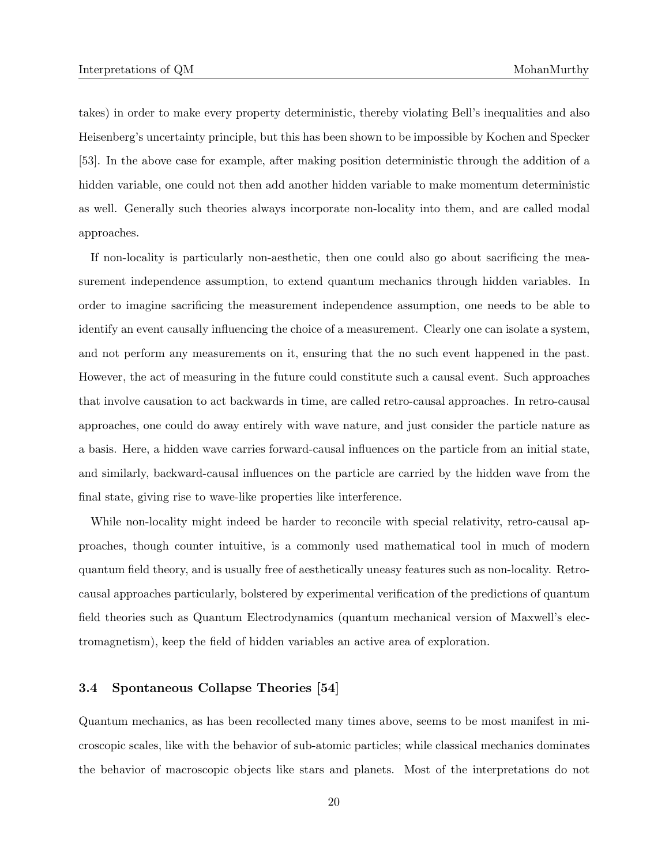takes) in order to make every property deterministic, thereby violating Bell's inequalities and also Heisenberg's uncertainty principle, but this has been shown to be impossible by Kochen and Specker [53]. In the above case for example, after making position deterministic through the addition of a hidden variable, one could not then add another hidden variable to make momentum deterministic as well. Generally such theories always incorporate non-locality into them, and are called modal approaches.

If non-locality is particularly non-aesthetic, then one could also go about sacrificing the measurement independence assumption, to extend quantum mechanics through hidden variables. In order to imagine sacrificing the measurement independence assumption, one needs to be able to identify an event causally influencing the choice of a measurement. Clearly one can isolate a system, and not perform any measurements on it, ensuring that the no such event happened in the past. However, the act of measuring in the future could constitute such a causal event. Such approaches that involve causation to act backwards in time, are called retro-causal approaches. In retro-causal approaches, one could do away entirely with wave nature, and just consider the particle nature as a basis. Here, a hidden wave carries forward-causal influences on the particle from an initial state, and similarly, backward-causal influences on the particle are carried by the hidden wave from the final state, giving rise to wave-like properties like interference.

While non-locality might indeed be harder to reconcile with special relativity, retro-causal approaches, though counter intuitive, is a commonly used mathematical tool in much of modern quantum field theory, and is usually free of aesthetically uneasy features such as non-locality. Retrocausal approaches particularly, bolstered by experimental verification of the predictions of quantum field theories such as Quantum Electrodynamics (quantum mechanical version of Maxwell's electromagnetism), keep the field of hidden variables an active area of exploration.

#### 3.4 Spontaneous Collapse Theories [54]

Quantum mechanics, as has been recollected many times above, seems to be most manifest in microscopic scales, like with the behavior of sub-atomic particles; while classical mechanics dominates the behavior of macroscopic objects like stars and planets. Most of the interpretations do not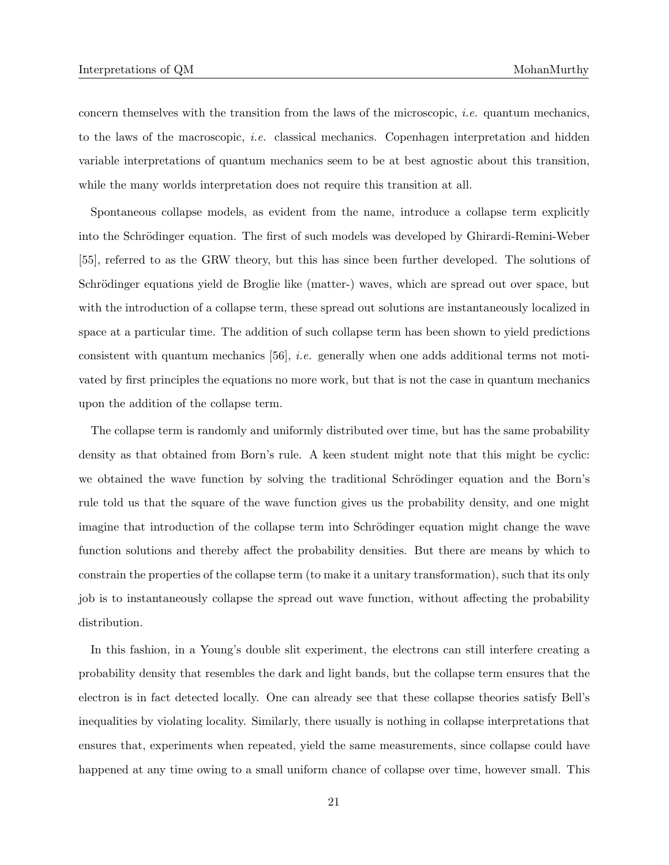concern themselves with the transition from the laws of the microscopic, i.e. quantum mechanics, to the laws of the macroscopic, i.e. classical mechanics. Copenhagen interpretation and hidden variable interpretations of quantum mechanics seem to be at best agnostic about this transition, while the many worlds interpretation does not require this transition at all.

Spontaneous collapse models, as evident from the name, introduce a collapse term explicitly into the Schrödinger equation. The first of such models was developed by Ghirardi-Remini-Weber [55], referred to as the GRW theory, but this has since been further developed. The solutions of Schrödinger equations yield de Broglie like (matter-) waves, which are spread out over space, but with the introduction of a collapse term, these spread out solutions are instantaneously localized in space at a particular time. The addition of such collapse term has been shown to yield predictions consistent with quantum mechanics [56], i.e. generally when one adds additional terms not motivated by first principles the equations no more work, but that is not the case in quantum mechanics upon the addition of the collapse term.

The collapse term is randomly and uniformly distributed over time, but has the same probability density as that obtained from Born's rule. A keen student might note that this might be cyclic: we obtained the wave function by solving the traditional Schrödinger equation and the Born's rule told us that the square of the wave function gives us the probability density, and one might imagine that introduction of the collapse term into Schrödinger equation might change the wave function solutions and thereby affect the probability densities. But there are means by which to constrain the properties of the collapse term (to make it a unitary transformation), such that its only job is to instantaneously collapse the spread out wave function, without affecting the probability distribution.

In this fashion, in a Young's double slit experiment, the electrons can still interfere creating a probability density that resembles the dark and light bands, but the collapse term ensures that the electron is in fact detected locally. One can already see that these collapse theories satisfy Bell's inequalities by violating locality. Similarly, there usually is nothing in collapse interpretations that ensures that, experiments when repeated, yield the same measurements, since collapse could have happened at any time owing to a small uniform chance of collapse over time, however small. This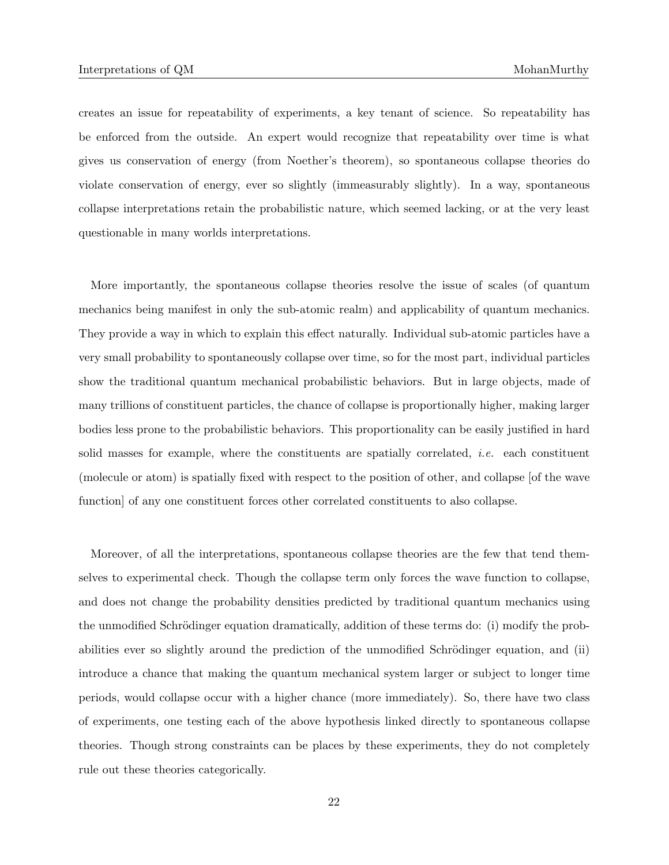creates an issue for repeatability of experiments, a key tenant of science. So repeatability has be enforced from the outside. An expert would recognize that repeatability over time is what gives us conservation of energy (from Noether's theorem), so spontaneous collapse theories do violate conservation of energy, ever so slightly (immeasurably slightly). In a way, spontaneous collapse interpretations retain the probabilistic nature, which seemed lacking, or at the very least questionable in many worlds interpretations.

More importantly, the spontaneous collapse theories resolve the issue of scales (of quantum mechanics being manifest in only the sub-atomic realm) and applicability of quantum mechanics. They provide a way in which to explain this effect naturally. Individual sub-atomic particles have a very small probability to spontaneously collapse over time, so for the most part, individual particles show the traditional quantum mechanical probabilistic behaviors. But in large objects, made of many trillions of constituent particles, the chance of collapse is proportionally higher, making larger bodies less prone to the probabilistic behaviors. This proportionality can be easily justified in hard solid masses for example, where the constituents are spatially correlated, *i.e.* each constituent (molecule or atom) is spatially fixed with respect to the position of other, and collapse [of the wave function] of any one constituent forces other correlated constituents to also collapse.

Moreover, of all the interpretations, spontaneous collapse theories are the few that tend themselves to experimental check. Though the collapse term only forces the wave function to collapse, and does not change the probability densities predicted by traditional quantum mechanics using the unmodified Schrödinger equation dramatically, addition of these terms do: (i) modify the probabilities ever so slightly around the prediction of the unmodified Schrödinger equation, and (ii) introduce a chance that making the quantum mechanical system larger or subject to longer time periods, would collapse occur with a higher chance (more immediately). So, there have two class of experiments, one testing each of the above hypothesis linked directly to spontaneous collapse theories. Though strong constraints can be places by these experiments, they do not completely rule out these theories categorically.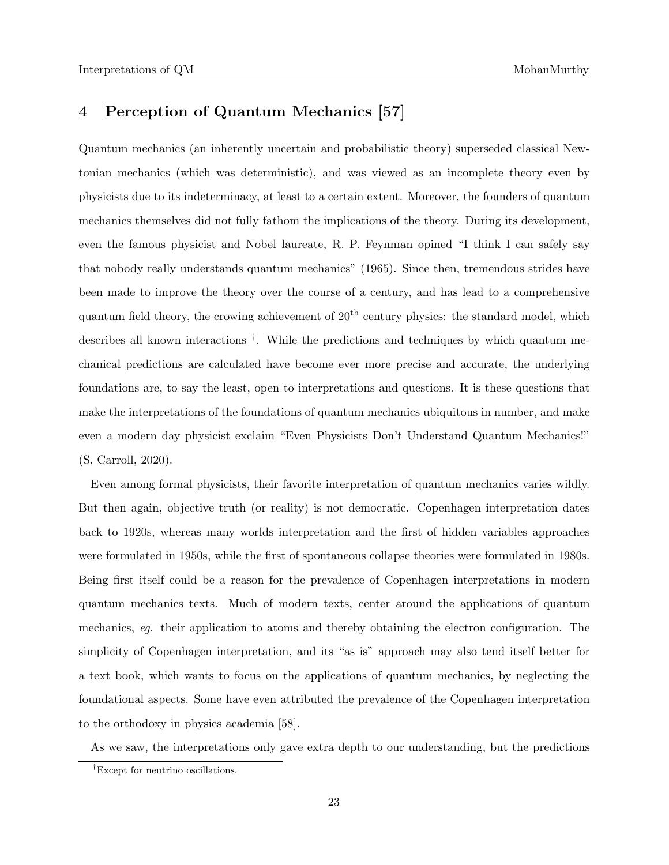# 4 Perception of Quantum Mechanics [57]

Quantum mechanics (an inherently uncertain and probabilistic theory) superseded classical Newtonian mechanics (which was deterministic), and was viewed as an incomplete theory even by physicists due to its indeterminacy, at least to a certain extent. Moreover, the founders of quantum mechanics themselves did not fully fathom the implications of the theory. During its development, even the famous physicist and Nobel laureate, R. P. Feynman opined "I think I can safely say that nobody really understands quantum mechanics" (1965). Since then, tremendous strides have been made to improve the theory over the course of a century, and has lead to a comprehensive quantum field theory, the crowing achievement of  $20<sup>th</sup>$  century physics: the standard model, which describes all known interactions † . While the predictions and techniques by which quantum mechanical predictions are calculated have become ever more precise and accurate, the underlying foundations are, to say the least, open to interpretations and questions. It is these questions that make the interpretations of the foundations of quantum mechanics ubiquitous in number, and make even a modern day physicist exclaim "Even Physicists Don't Understand Quantum Mechanics!" (S. Carroll, 2020).

Even among formal physicists, their favorite interpretation of quantum mechanics varies wildly. But then again, objective truth (or reality) is not democratic. Copenhagen interpretation dates back to 1920s, whereas many worlds interpretation and the first of hidden variables approaches were formulated in 1950s, while the first of spontaneous collapse theories were formulated in 1980s. Being first itself could be a reason for the prevalence of Copenhagen interpretations in modern quantum mechanics texts. Much of modern texts, center around the applications of quantum mechanics, eg. their application to atoms and thereby obtaining the electron configuration. The simplicity of Copenhagen interpretation, and its "as is" approach may also tend itself better for a text book, which wants to focus on the applications of quantum mechanics, by neglecting the foundational aspects. Some have even attributed the prevalence of the Copenhagen interpretation to the orthodoxy in physics academia [58].

As we saw, the interpretations only gave extra depth to our understanding, but the predictions

<sup>†</sup>Except for neutrino oscillations.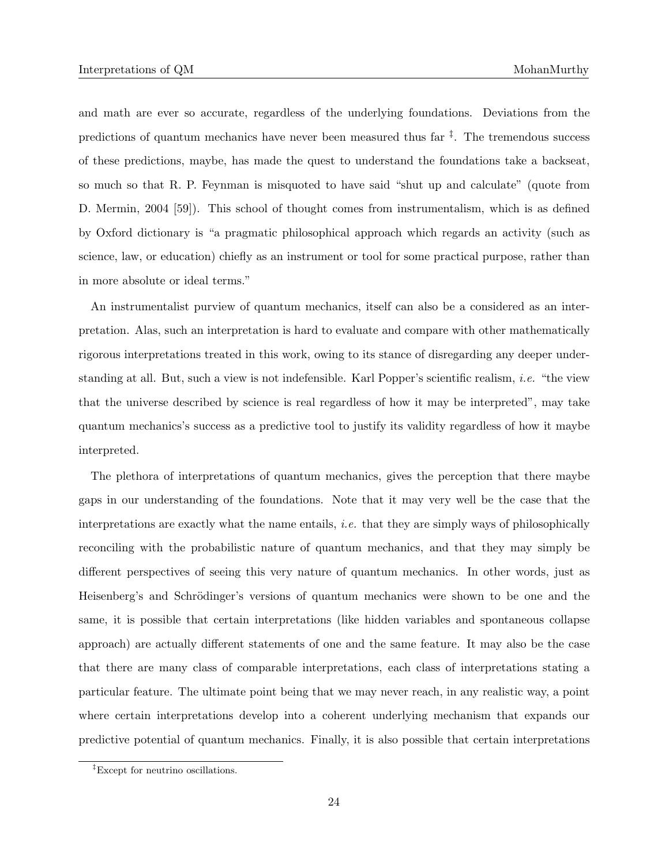and math are ever so accurate, regardless of the underlying foundations. Deviations from the predictions of quantum mechanics have never been measured thus far <sup>‡</sup>. The tremendous success of these predictions, maybe, has made the quest to understand the foundations take a backseat, so much so that R. P. Feynman is misquoted to have said "shut up and calculate" (quote from D. Mermin, 2004 [59]). This school of thought comes from instrumentalism, which is as defined by Oxford dictionary is "a pragmatic philosophical approach which regards an activity (such as science, law, or education) chiefly as an instrument or tool for some practical purpose, rather than in more absolute or ideal terms."

An instrumentalist purview of quantum mechanics, itself can also be a considered as an interpretation. Alas, such an interpretation is hard to evaluate and compare with other mathematically rigorous interpretations treated in this work, owing to its stance of disregarding any deeper understanding at all. But, such a view is not indefensible. Karl Popper's scientific realism, i.e. "the view that the universe described by science is real regardless of how it may be interpreted", may take quantum mechanics's success as a predictive tool to justify its validity regardless of how it maybe interpreted.

The plethora of interpretations of quantum mechanics, gives the perception that there maybe gaps in our understanding of the foundations. Note that it may very well be the case that the interpretations are exactly what the name entails, *i.e.* that they are simply ways of philosophically reconciling with the probabilistic nature of quantum mechanics, and that they may simply be different perspectives of seeing this very nature of quantum mechanics. In other words, just as Heisenberg's and Schrödinger's versions of quantum mechanics were shown to be one and the same, it is possible that certain interpretations (like hidden variables and spontaneous collapse approach) are actually different statements of one and the same feature. It may also be the case that there are many class of comparable interpretations, each class of interpretations stating a particular feature. The ultimate point being that we may never reach, in any realistic way, a point where certain interpretations develop into a coherent underlying mechanism that expands our predictive potential of quantum mechanics. Finally, it is also possible that certain interpretations

<sup>‡</sup>Except for neutrino oscillations.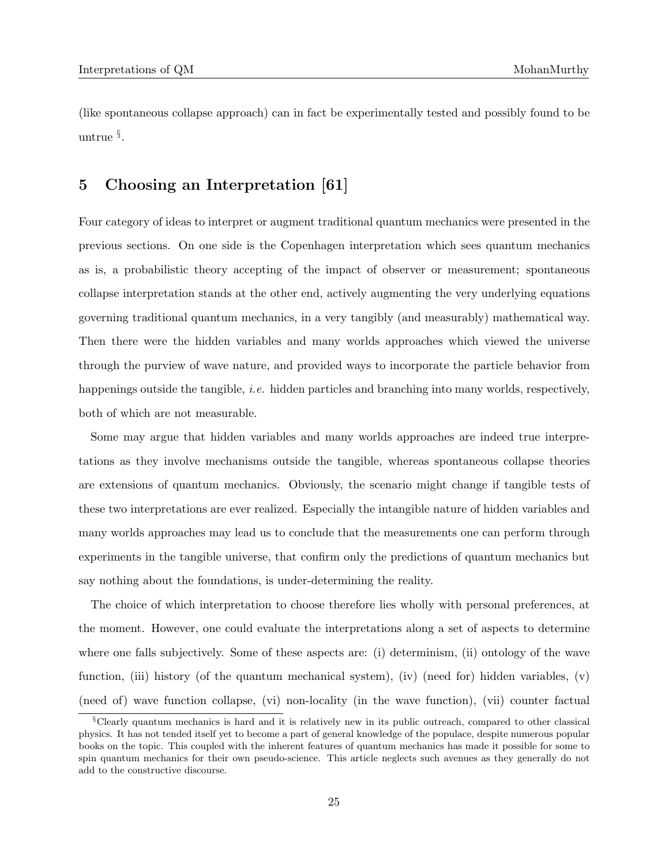(like spontaneous collapse approach) can in fact be experimentally tested and possibly found to be untrue § .

## 5 Choosing an Interpretation [61]

Four category of ideas to interpret or augment traditional quantum mechanics were presented in the previous sections. On one side is the Copenhagen interpretation which sees quantum mechanics as is, a probabilistic theory accepting of the impact of observer or measurement; spontaneous collapse interpretation stands at the other end, actively augmenting the very underlying equations governing traditional quantum mechanics, in a very tangibly (and measurably) mathematical way. Then there were the hidden variables and many worlds approaches which viewed the universe through the purview of wave nature, and provided ways to incorporate the particle behavior from happenings outside the tangible, *i.e.* hidden particles and branching into many worlds, respectively, both of which are not measurable.

Some may argue that hidden variables and many worlds approaches are indeed true interpretations as they involve mechanisms outside the tangible, whereas spontaneous collapse theories are extensions of quantum mechanics. Obviously, the scenario might change if tangible tests of these two interpretations are ever realized. Especially the intangible nature of hidden variables and many worlds approaches may lead us to conclude that the measurements one can perform through experiments in the tangible universe, that confirm only the predictions of quantum mechanics but say nothing about the foundations, is under-determining the reality.

The choice of which interpretation to choose therefore lies wholly with personal preferences, at the moment. However, one could evaluate the interpretations along a set of aspects to determine where one falls subjectively. Some of these aspects are: (i) determinism, (ii) ontology of the wave function, (iii) history (of the quantum mechanical system), (iv) (need for) hidden variables,  $(v)$ (need of) wave function collapse, (vi) non-locality (in the wave function), (vii) counter factual

<sup>§</sup>Clearly quantum mechanics is hard and it is relatively new in its public outreach, compared to other classical physics. It has not tended itself yet to become a part of general knowledge of the populace, despite numerous popular books on the topic. This coupled with the inherent features of quantum mechanics has made it possible for some to spin quantum mechanics for their own pseudo-science. This article neglects such avenues as they generally do not add to the constructive discourse.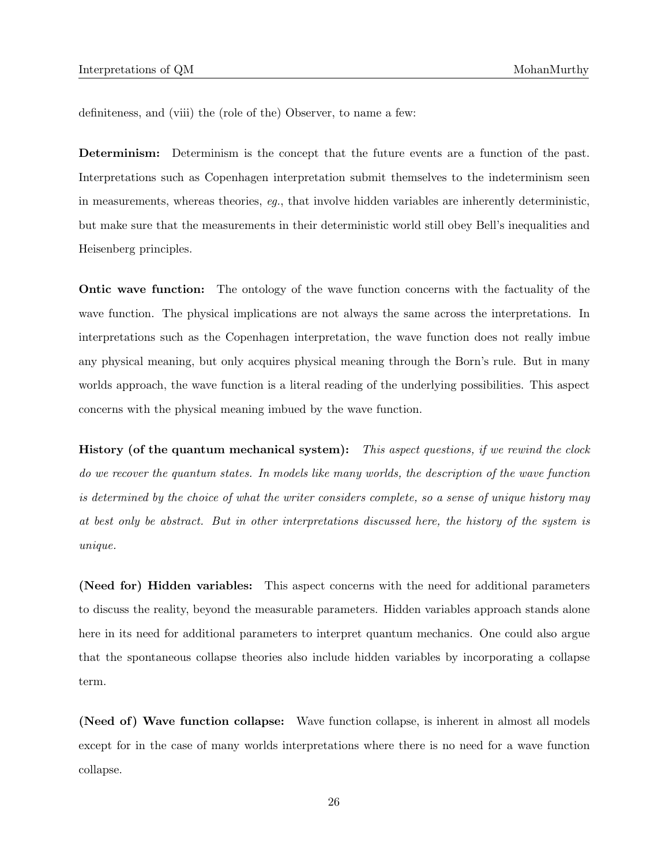definiteness, and (viii) the (role of the) Observer, to name a few:

Determinism: Determinism is the concept that the future events are a function of the past. Interpretations such as Copenhagen interpretation submit themselves to the indeterminism seen in measurements, whereas theories, eg., that involve hidden variables are inherently deterministic, but make sure that the measurements in their deterministic world still obey Bell's inequalities and Heisenberg principles.

Ontic wave function: The ontology of the wave function concerns with the factuality of the wave function. The physical implications are not always the same across the interpretations. In interpretations such as the Copenhagen interpretation, the wave function does not really imbue any physical meaning, but only acquires physical meaning through the Born's rule. But in many worlds approach, the wave function is a literal reading of the underlying possibilities. This aspect concerns with the physical meaning imbued by the wave function.

History (of the quantum mechanical system): This aspect questions, if we rewind the clock do we recover the quantum states. In models like many worlds, the description of the wave function is determined by the choice of what the writer considers complete, so a sense of unique history may at best only be abstract. But in other interpretations discussed here, the history of the system is unique.

(Need for) Hidden variables: This aspect concerns with the need for additional parameters to discuss the reality, beyond the measurable parameters. Hidden variables approach stands alone here in its need for additional parameters to interpret quantum mechanics. One could also argue that the spontaneous collapse theories also include hidden variables by incorporating a collapse term.

(Need of) Wave function collapse: Wave function collapse, is inherent in almost all models except for in the case of many worlds interpretations where there is no need for a wave function collapse.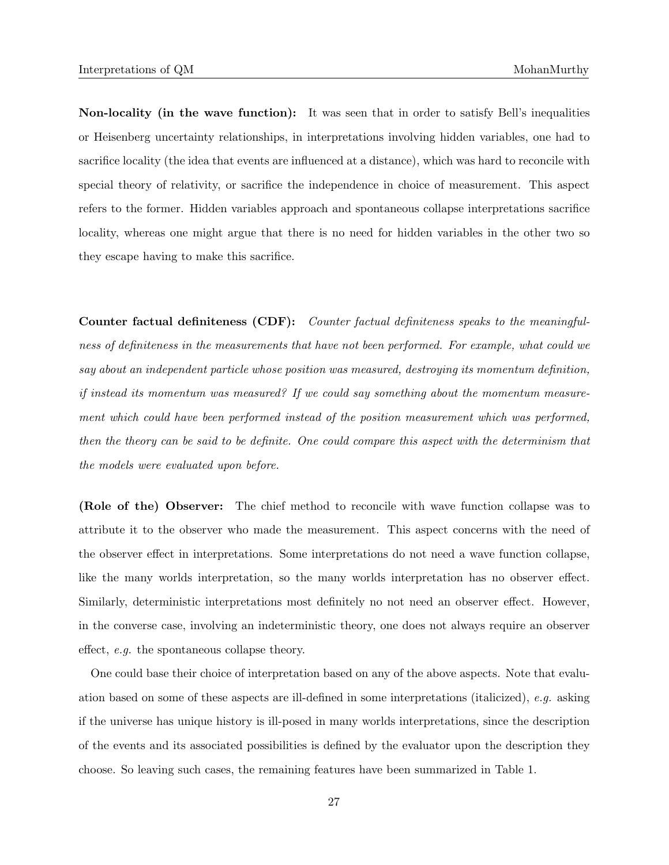Non-locality (in the wave function): It was seen that in order to satisfy Bell's inequalities or Heisenberg uncertainty relationships, in interpretations involving hidden variables, one had to sacrifice locality (the idea that events are influenced at a distance), which was hard to reconcile with special theory of relativity, or sacrifice the independence in choice of measurement. This aspect refers to the former. Hidden variables approach and spontaneous collapse interpretations sacrifice locality, whereas one might argue that there is no need for hidden variables in the other two so they escape having to make this sacrifice.

Counter factual definiteness (CDF): Counter factual definiteness speaks to the meaningfulness of definiteness in the measurements that have not been performed. For example, what could we say about an independent particle whose position was measured, destroying its momentum definition, if instead its momentum was measured? If we could say something about the momentum measurement which could have been performed instead of the position measurement which was performed, then the theory can be said to be definite. One could compare this aspect with the determinism that the models were evaluated upon before.

(Role of the) Observer: The chief method to reconcile with wave function collapse was to attribute it to the observer who made the measurement. This aspect concerns with the need of the observer effect in interpretations. Some interpretations do not need a wave function collapse, like the many worlds interpretation, so the many worlds interpretation has no observer effect. Similarly, deterministic interpretations most definitely no not need an observer effect. However, in the converse case, involving an indeterministic theory, one does not always require an observer effect, e.g. the spontaneous collapse theory.

One could base their choice of interpretation based on any of the above aspects. Note that evaluation based on some of these aspects are ill-defined in some interpretations (italicized), e.g. asking if the universe has unique history is ill-posed in many worlds interpretations, since the description of the events and its associated possibilities is defined by the evaluator upon the description they choose. So leaving such cases, the remaining features have been summarized in Table 1.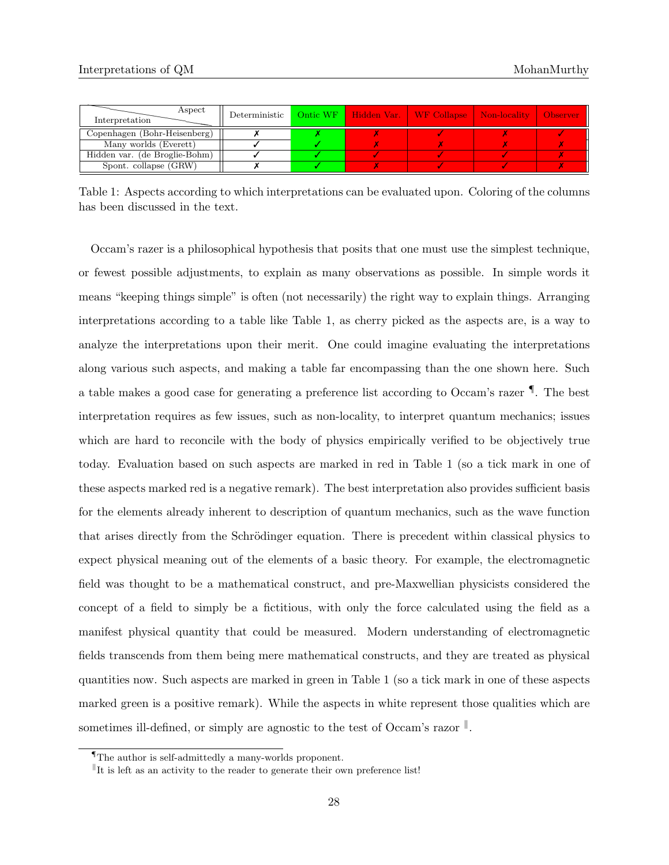| Aspect<br>Interpretation      | Deterministic <b>Ontic WF</b> |  | Hidden Var.   WF Collapse   Non-locality   Observer |  |
|-------------------------------|-------------------------------|--|-----------------------------------------------------|--|
| Copenhagen (Bohr-Heisenberg)  |                               |  |                                                     |  |
| Many worlds (Everett)         |                               |  |                                                     |  |
| Hidden var. (de Broglie-Bohm) |                               |  |                                                     |  |
| Spont. collapse (GRW)         |                               |  |                                                     |  |

Table 1: Aspects according to which interpretations can be evaluated upon. Coloring of the columns has been discussed in the text.

Occam's razer is a philosophical hypothesis that posits that one must use the simplest technique, or fewest possible adjustments, to explain as many observations as possible. In simple words it means "keeping things simple" is often (not necessarily) the right way to explain things. Arranging interpretations according to a table like Table 1, as cherry picked as the aspects are, is a way to analyze the interpretations upon their merit. One could imagine evaluating the interpretations along various such aspects, and making a table far encompassing than the one shown here. Such a table makes a good case for generating a preference list according to Occam's razer  $\P$ . The best interpretation requires as few issues, such as non-locality, to interpret quantum mechanics; issues which are hard to reconcile with the body of physics empirically verified to be objectively true today. Evaluation based on such aspects are marked in red in Table 1 (so a tick mark in one of these aspects marked red is a negative remark). The best interpretation also provides sufficient basis for the elements already inherent to description of quantum mechanics, such as the wave function that arises directly from the Schrödinger equation. There is precedent within classical physics to expect physical meaning out of the elements of a basic theory. For example, the electromagnetic field was thought to be a mathematical construct, and pre-Maxwellian physicists considered the concept of a field to simply be a fictitious, with only the force calculated using the field as a manifest physical quantity that could be measured. Modern understanding of electromagnetic fields transcends from them being mere mathematical constructs, and they are treated as physical quantities now. Such aspects are marked in green in Table 1 (so a tick mark in one of these aspects marked green is a positive remark). While the aspects in white represent those qualities which are sometimes ill-defined, or simply are agnostic to the test of Occam's razor  $\mathbb{I}$ .

<sup>¶</sup>The author is self-admittedly a many-worlds proponent.

It is left as an activity to the reader to generate their own preference list!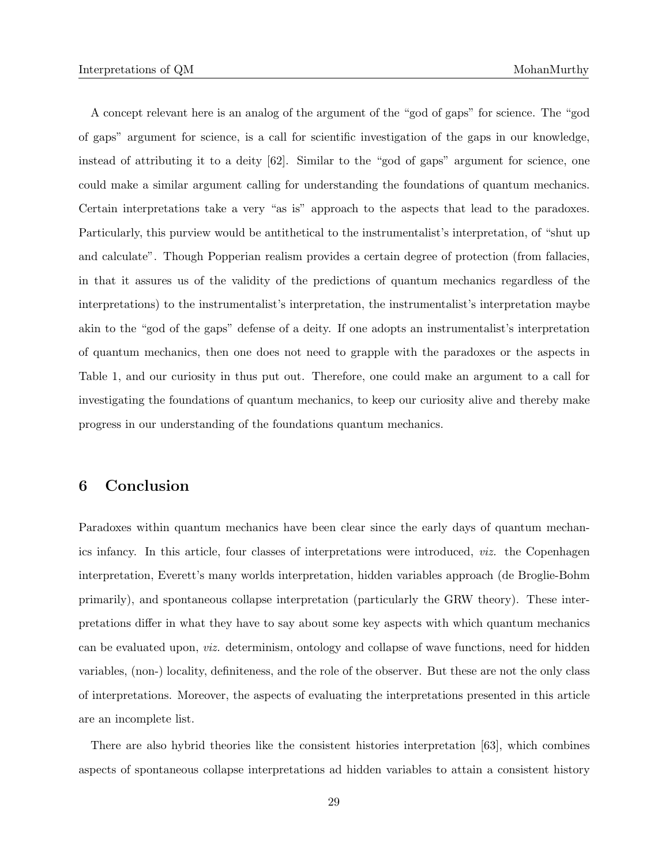A concept relevant here is an analog of the argument of the "god of gaps" for science. The "god of gaps" argument for science, is a call for scientific investigation of the gaps in our knowledge, instead of attributing it to a deity [62]. Similar to the "god of gaps" argument for science, one could make a similar argument calling for understanding the foundations of quantum mechanics. Certain interpretations take a very "as is" approach to the aspects that lead to the paradoxes. Particularly, this purview would be antithetical to the instrumentalist's interpretation, of "shut up and calculate". Though Popperian realism provides a certain degree of protection (from fallacies, in that it assures us of the validity of the predictions of quantum mechanics regardless of the interpretations) to the instrumentalist's interpretation, the instrumentalist's interpretation maybe akin to the "god of the gaps" defense of a deity. If one adopts an instrumentalist's interpretation of quantum mechanics, then one does not need to grapple with the paradoxes or the aspects in Table 1, and our curiosity in thus put out. Therefore, one could make an argument to a call for investigating the foundations of quantum mechanics, to keep our curiosity alive and thereby make progress in our understanding of the foundations quantum mechanics.

### 6 Conclusion

Paradoxes within quantum mechanics have been clear since the early days of quantum mechanics infancy. In this article, four classes of interpretations were introduced, viz. the Copenhagen interpretation, Everett's many worlds interpretation, hidden variables approach (de Broglie-Bohm primarily), and spontaneous collapse interpretation (particularly the GRW theory). These interpretations differ in what they have to say about some key aspects with which quantum mechanics can be evaluated upon, viz. determinism, ontology and collapse of wave functions, need for hidden variables, (non-) locality, definiteness, and the role of the observer. But these are not the only class of interpretations. Moreover, the aspects of evaluating the interpretations presented in this article are an incomplete list.

There are also hybrid theories like the consistent histories interpretation [63], which combines aspects of spontaneous collapse interpretations ad hidden variables to attain a consistent history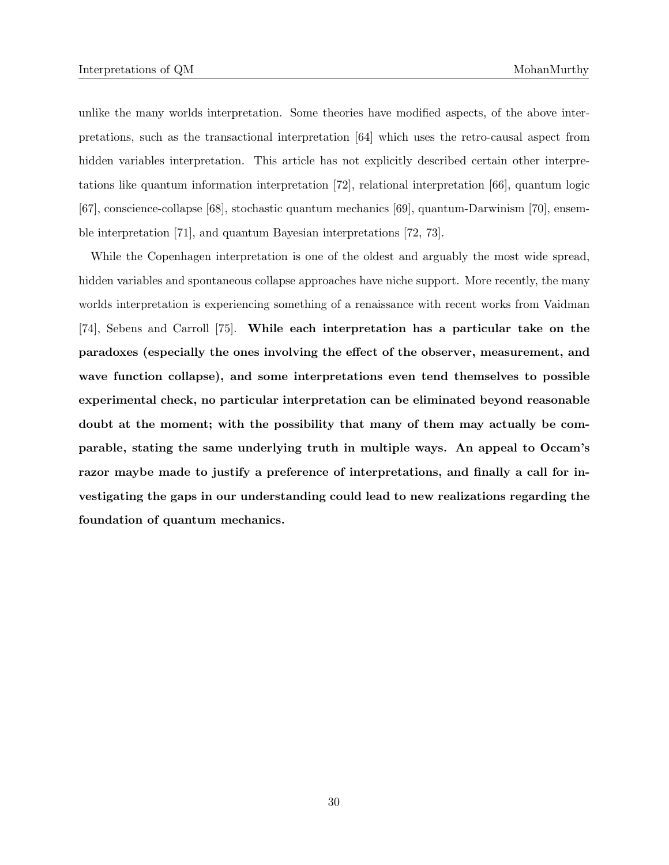unlike the many worlds interpretation. Some theories have modified aspects, of the above interpretations, such as the transactional interpretation [64] which uses the retro-causal aspect from hidden variables interpretation. This article has not explicitly described certain other interpretations like quantum information interpretation [72], relational interpretation [66], quantum logic [67], conscience-collapse [68], stochastic quantum mechanics [69], quantum-Darwinism [70], ensemble interpretation [71], and quantum Bayesian interpretations [72, 73].

While the Copenhagen interpretation is one of the oldest and arguably the most wide spread, hidden variables and spontaneous collapse approaches have niche support. More recently, the many worlds interpretation is experiencing something of a renaissance with recent works from Vaidman [74], Sebens and Carroll [75]. While each interpretation has a particular take on the paradoxes (especially the ones involving the effect of the observer, measurement, and wave function collapse), and some interpretations even tend themselves to possible experimental check, no particular interpretation can be eliminated beyond reasonable doubt at the moment; with the possibility that many of them may actually be comparable, stating the same underlying truth in multiple ways. An appeal to Occam's razor maybe made to justify a preference of interpretations, and finally a call for investigating the gaps in our understanding could lead to new realizations regarding the foundation of quantum mechanics.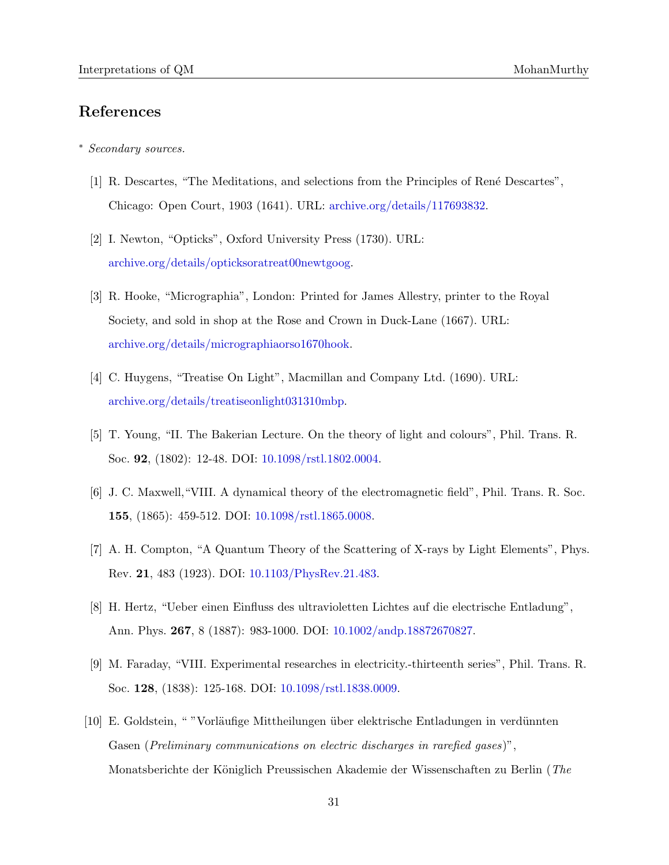## References

- <sup>∗</sup> Secondary sources.
	- [1] R. Descartes, "The Meditations, and selections from the Principles of Ren´e Descartes", Chicago: Open Court, 1903 (1641). URL: [archive.org/details/117693832.](https://archive.org/details/117693832)
	- [2] I. Newton, "Opticks", Oxford University Press (1730). URL: [archive.org/details/opticksoratreat00newtgoog.](https://archive.org/details/opticksoratreat00newtgoog)
	- [3] R. Hooke, "Micrographia", London: Printed for James Allestry, printer to the Royal Society, and sold in shop at the Rose and Crown in Duck-Lane (1667). URL: [archive.org/details/micrographiaorso1670hook.](https://archive.org/details/micrographiaorso1670hook)
	- [4] C. Huygens, "Treatise On Light", Macmillan and Company Ltd. (1690). URL: [archive.org/details/treatiseonlight031310mbp.](https://archive.org/details/treatiseonlight031310mbp)
	- [5] T. Young, "II. The Bakerian Lecture. On the theory of light and colours", Phil. Trans. R. Soc. 92, (1802): 12-48. DOI: [10.1098/rstl.1802.0004.](https://doi.org/10.1098/rstl.1802.0004)
	- [6] J. C. Maxwell,"VIII. A dynamical theory of the electromagnetic field", Phil. Trans. R. Soc. 155, (1865): 459-512. DOI: [10.1098/rstl.1865.0008.](http://doi.org/10.1098/rstl.1865.0008)
	- [7] A. H. Compton, "A Quantum Theory of the Scattering of X-rays by Light Elements", Phys. Rev. 21, 483 (1923). DOI: [10.1103/PhysRev.21.483.](https://doi.org/10.1103/PhysRev.21.483)
	- [8] H. Hertz, "Ueber einen Einfluss des ultravioletten Lichtes auf die electrische Entladung", Ann. Phys. 267, 8 (1887): 983-1000. DOI: [10.1002/andp.18872670827.](https://doi.org/10.1002/andp.18872670827)
	- [9] M. Faraday, "VIII. Experimental researches in electricity.-thirteenth series", Phil. Trans. R. Soc. 128, (1838): 125-168. DOI: [10.1098/rstl.1838.0009.](http://doi.org/10.1098/rstl.1838.0009)
- [10] E. Goldstein, " "Vorläufige Mittheilungen über elektrische Entladungen in verdünnten Gasen (*Preliminary communications on electric discharges in rarefied gases*)", Monatsberichte der Königlich Preussischen Akademie der Wissenschaften zu Berlin (The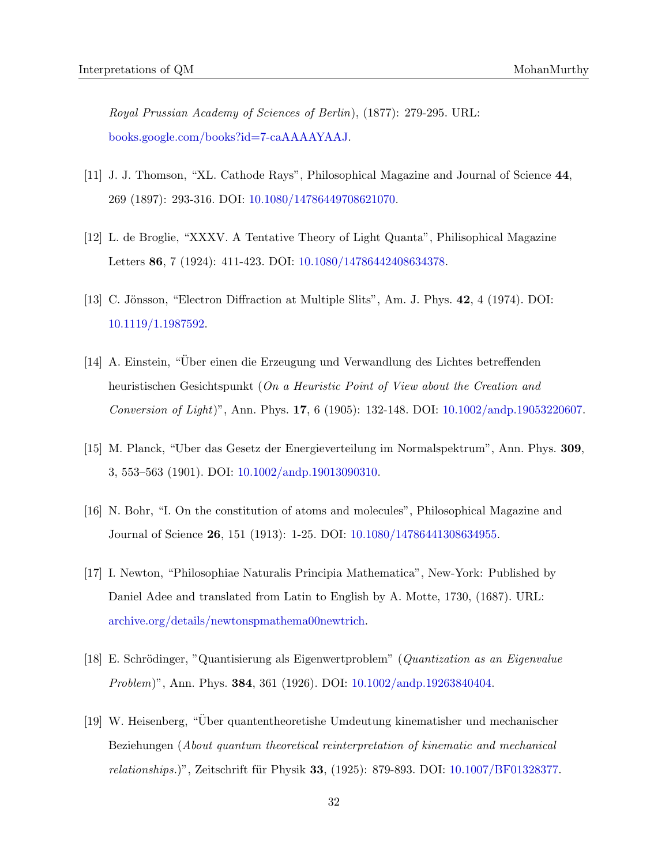Royal Prussian Academy of Sciences of Berlin), (1877): 279-295. URL: [books.google.com/books?id=7-caAAAAYAAJ.](https://books.google.com/books?id=7-caAAAAYAAJ&pg=PA279#v=onepage&q&f=false)

- [11] J. J. Thomson, "XL. Cathode Rays", Philosophical Magazine and Journal of Science 44, 269 (1897): 293-316. DOI: [10.1080/14786449708621070.](http://doi.org/10.1080/14786449708621070)
- [12] L. de Broglie, "XXXV. A Tentative Theory of Light Quanta", Philisophical Magazine Letters 86, 7 (1924): 411-423. DOI: [10.1080/14786442408634378.](https://doi.org/10.1080/14786442408634378)
- [13] C. Jönsson, "Electron Diffraction at Multiple Slits", Am. J. Phys. 42, 4 (1974). DOI: [10.1119/1.1987592.](https://doi.org/10.1119/1.1987592)
- [14] A. Einstein, "Uber einen die Erzeugung und Verwandlung des Lichtes betreffenden ¨ heuristischen Gesichtspunkt (On a Heuristic Point of View about the Creation and Conversion of Light)", Ann. Phys. 17, 6 (1905): 132-148. DOI: [10.1002/andp.19053220607.](https://doi.org/10.1002/andp.19053220607)
- [15] M. Planck, "Uber das Gesetz der Energieverteilung im Normalspektrum", Ann. Phys. 309, 3, 553–563 (1901). DOI: [10.1002/andp.19013090310.](https://doi.org/10.1002/andp.19013090310)
- [16] N. Bohr, "I. On the constitution of atoms and molecules", Philosophical Magazine and Journal of Science 26, 151 (1913): 1-25. DOI: [10.1080/14786441308634955.](https://doi.org/10.1080/14786441308634955)
- [17] I. Newton, "Philosophiae Naturalis Principia Mathematica", New-York: Published by Daniel Adee and translated from Latin to English by A. Motte, 1730, (1687). URL: [archive.org/details/newtonspmathema00newtrich.](https://archive.org/details/newtonspmathema00newtrich)
- [18] E. Schrödinger, "Quantisierung als Eigenwertproblem" (Quantization as an Eigenvalue Problem)", Ann. Phys. 384, 361 (1926). DOI: [10.1002/andp.19263840404.](https://doi.org/10.1002/andp.19263840404)
- [19] W. Heisenberg, "Uber quantentheoretishe Umdeutung kinematisher und mechanischer ¨ Beziehungen (About quantum theoretical reinterpretation of kinematic and mechanical  $relationships.)$ ", Zeitschrift für Physik 33, (1925): 879-893. DOI: [10.1007/BF01328377.](https://doi.org/10.1007/BF01328377)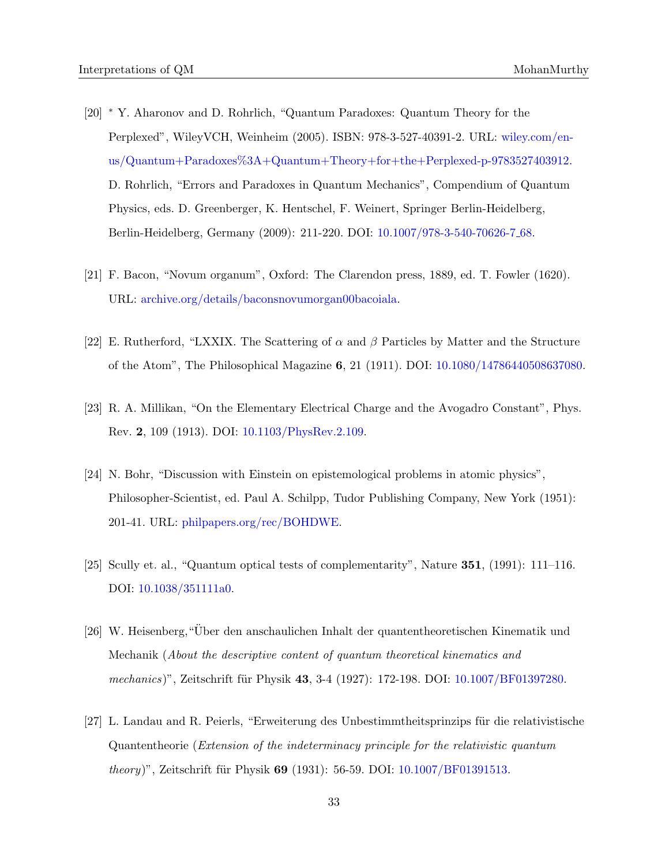- [20] <sup>∗</sup> Y. Aharonov and D. Rohrlich, "Quantum Paradoxes: Quantum Theory for the Perplexed", WileyVCH, Weinheim (2005). ISBN: 978-3-527-40391-2. URL: [wiley.com/en](https://www.wiley.com/en-us/Quantum+Paradoxes%3A+Quantum+Theory+for+the+Perplexed-p-9783527403912)[us/Quantum+Paradoxes%3A+Quantum+Theory+for+the+Perplexed-p-9783527403912.](https://www.wiley.com/en-us/Quantum+Paradoxes%3A+Quantum+Theory+for+the+Perplexed-p-9783527403912) D. Rohrlich, "Errors and Paradoxes in Quantum Mechanics", Compendium of Quantum Physics, eds. D. Greenberger, K. Hentschel, F. Weinert, Springer Berlin-Heidelberg, Berlin-Heidelberg, Germany (2009): 211-220. DOI: [10.1007/978-3-540-70626-7](https://doi.org/10.1007/978-3-540-70626-7_68) 68.
- [21] F. Bacon, "Novum organum", Oxford: The Clarendon press, 1889, ed. T. Fowler (1620). URL: [archive.org/details/baconsnovumorgan00bacoiala.](https://archive.org/details/baconsnovumorgan00bacoiala)
- [22] E. Rutherford, "LXXIX. The Scattering of  $\alpha$  and  $\beta$  Particles by Matter and the Structure of the Atom", The Philosophical Magazine 6, 21 (1911). DOI: [10.1080/14786440508637080.](https://doi.org/10.1080/14786440508637080)
- [23] R. A. Millikan, "On the Elementary Electrical Charge and the Avogadro Constant", Phys. Rev. 2, 109 (1913). DOI: [10.1103/PhysRev.2.109.](https://journals.aps.org/pr/abstract/10.1103/PhysRev.2.109)
- [24] N. Bohr, "Discussion with Einstein on epistemological problems in atomic physics", Philosopher-Scientist, ed. Paul A. Schilpp, Tudor Publishing Company, New York (1951): 201-41. URL: [philpapers.org/rec/BOHDWE.](https://philpapers.org/rec/BOHDWE)
- [25] Scully et. al., "Quantum optical tests of complementarity", Nature 351, (1991): 111–116. DOI: [10.1038/351111a0.](https://doi.org/10.1038/351111a0)
- [26] W. Heisenberg,"Uber den anschaulichen Inhalt der quantentheoretischen Kinematik und ¨ Mechanik (About the descriptive content of quantum theoretical kinematics and mechanics)", Zeitschrift für Physik 43, 3-4 (1927): 172-198. DOI: [10.1007/BF01397280.](https://doi.org/10.1007/BF01397280)
- [27] L. Landau and R. Peierls, "Erweiterung des Unbestimmtheitsprinzips für die relativistische Quantentheorie (Extension of the indeterminacy principle for the relativistic quantum  $theory$ )", Zeitschrift für Physik 69 (1931): 56-59. DOI: [10.1007/BF01391513.](https://doi.org/10.1007/BF01391513)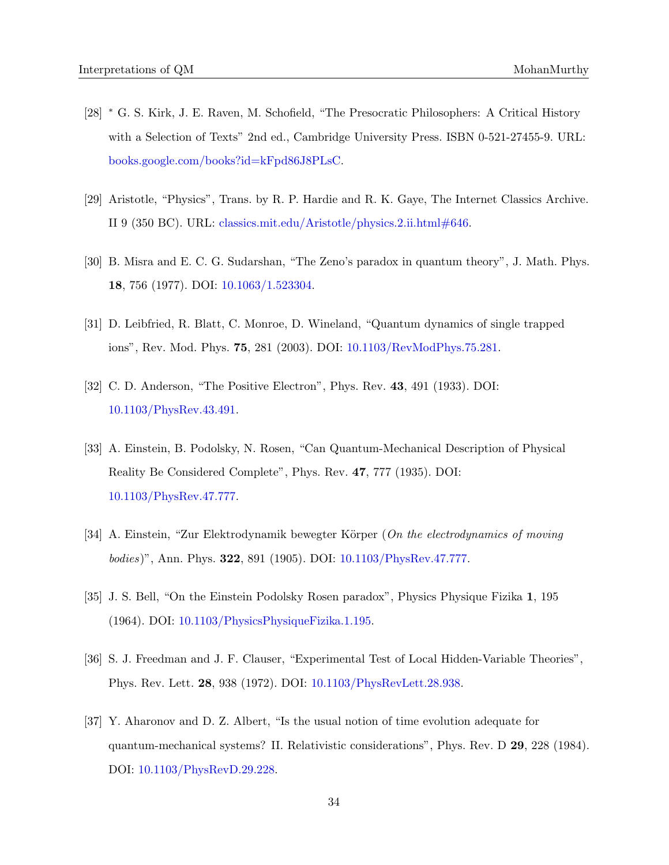- [28] <sup>∗</sup> G. S. Kirk, J. E. Raven, M. Schofield, "The Presocratic Philosophers: A Critical History with a Selection of Texts" 2nd ed., Cambridge University Press. ISBN 0-521-27455-9. URL: [books.google.com/books?id=kFpd86J8PLsC.](https://books.google.com/books?id=kFpd86J8PLsC&printsec=frontcover&source=gbs_ge_summary_r&cad=0#v=onepage&q&f=false)
- [29] Aristotle, "Physics", Trans. by R. P. Hardie and R. K. Gaye, The Internet Classics Archive. II 9 (350 BC). URL: [classics.mit.edu/Aristotle/physics.2.ii.html#646.](http://classics.mit.edu/Aristotle/physics.2.ii.html#646)
- [30] B. Misra and E. C. G. Sudarshan, "The Zeno's paradox in quantum theory", J. Math. Phys. 18, 756 (1977). DOI: [10.1063/1.523304.](https://doi.org/10.1063/1.523304)
- [31] D. Leibfried, R. Blatt, C. Monroe, D. Wineland, "Quantum dynamics of single trapped ions", Rev. Mod. Phys. 75, 281 (2003). DOI: [10.1103/RevModPhys.75.281.](https://doi.org/10.1103/RevModPhys.75.281)
- [32] C. D. Anderson, "The Positive Electron", Phys. Rev. 43, 491 (1933). DOI: [10.1103/PhysRev.43.491.](https://doi.org/10.1103/PhysRev.43.491)
- [33] A. Einstein, B. Podolsky, N. Rosen, "Can Quantum-Mechanical Description of Physical Reality Be Considered Complete", Phys. Rev. 47, 777 (1935). DOI: [10.1103/PhysRev.47.777.](https://doi.org/10.1103/PhysRev.47.777)
- [34] A. Einstein, "Zur Elektrodynamik bewegter Körper (On the electrodynamics of moving bodies)", Ann. Phys. 322, 891 (1905). DOI: [10.1103/PhysRev.47.777.](https://doi.org/10.1103/PhysRev.47.777)
- [35] J. S. Bell, "On the Einstein Podolsky Rosen paradox", Physics Physique Fizika 1, 195 (1964). DOI: [10.1103/PhysicsPhysiqueFizika.1.195.](https://doi.org/10.1103/PhysicsPhysiqueFizika.1.195)
- [36] S. J. Freedman and J. F. Clauser, "Experimental Test of Local Hidden-Variable Theories", Phys. Rev. Lett. 28, 938 (1972). DOI: [10.1103/PhysRevLett.28.938.](https://doi.org/10.1103/PhysRevLett.28.938)
- [37] Y. Aharonov and D. Z. Albert, "Is the usual notion of time evolution adequate for quantum-mechanical systems? II. Relativistic considerations", Phys. Rev. D 29, 228 (1984). DOI: [10.1103/PhysRevD.29.228.](https://doi.org/10.1103/PhysRevD.29.228)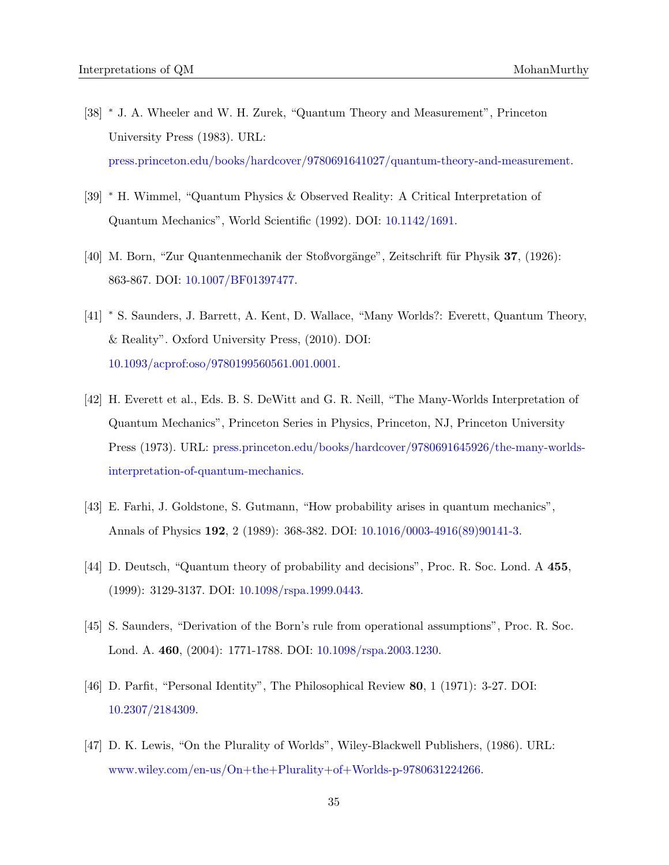- [38] <sup>∗</sup> J. A. Wheeler and W. H. Zurek, "Quantum Theory and Measurement", Princeton University Press (1983). URL: [press.princeton.edu/books/hardcover/9780691641027/quantum-theory-and-measurement.](https://press.princeton.edu/books/hardcover/9780691641027/quantum-theory-and-measurement)
- [39] <sup>∗</sup> H. Wimmel, "Quantum Physics & Observed Reality: A Critical Interpretation of Quantum Mechanics", World Scientific (1992). DOI: [10.1142/1691.](https://doi.org/10.1142/1691)
- $[40]$  M. Born, "Zur Quantenmechanik der Stoßvorgänge", Zeitschrift für Physik 37, (1926): 863-867. DOI: [10.1007/BF01397477.](https://doi.org/10.1007/BF01397477)
- [41] <sup>∗</sup> S. Saunders, J. Barrett, A. Kent, D. Wallace, "Many Worlds?: Everett, Quantum Theory, & Reality". Oxford University Press, (2010). DOI: [10.1093/acprof:oso/9780199560561.001.0001.](https://oxford.universitypressscholarship.com/view/10.1093/acprof:oso/9780199560561.001.0001/acprof-9780199560561)
- [42] H. Everett et al., Eds. B. S. DeWitt and G. R. Neill, "The Many-Worlds Interpretation of Quantum Mechanics", Princeton Series in Physics, Princeton, NJ, Princeton University Press (1973). URL: [press.princeton.edu/books/hardcover/9780691645926/the-many-worlds](https://press.princeton.edu/books/hardcover/9780691645926/the-many-worlds-interpretation-of-quantum-mechanics)[interpretation-of-quantum-mechanics.](https://press.princeton.edu/books/hardcover/9780691645926/the-many-worlds-interpretation-of-quantum-mechanics)
- [43] E. Farhi, J. Goldstone, S. Gutmann, "How probability arises in quantum mechanics", Annals of Physics 192, 2 (1989): 368-382. DOI: [10.1016/0003-4916\(89\)90141-3.](https://doi.org/10.1016/0003-4916(89)90141-3)
- [44] D. Deutsch, "Quantum theory of probability and decisions", Proc. R. Soc. Lond. A 455, (1999): 3129-3137. DOI: [10.1098/rspa.1999.0443.](http://doi.org/10.1098/rspa.1999.0443)
- [45] S. Saunders, "Derivation of the Born's rule from operational assumptions", Proc. R. Soc. Lond. A. 460, (2004): 1771-1788. DOI: [10.1098/rspa.2003.1230.](http://doi.org/10.1098/rspa.2003.1230)
- [46] D. Parfit, "Personal Identity", The Philosophical Review 80, 1 (1971): 3-27. DOI: [10.2307/2184309.](http://doi.org/10.2307/2184309)
- [47] D. K. Lewis, "On the Plurality of Worlds", Wiley-Blackwell Publishers, (1986). URL: [www.wiley.com/en-us/On+the+Plurality+of+Worlds-p-9780631224266.](https://www.wiley.com/en-us/On+the+Plurality+of+Worlds-p-9780631224266)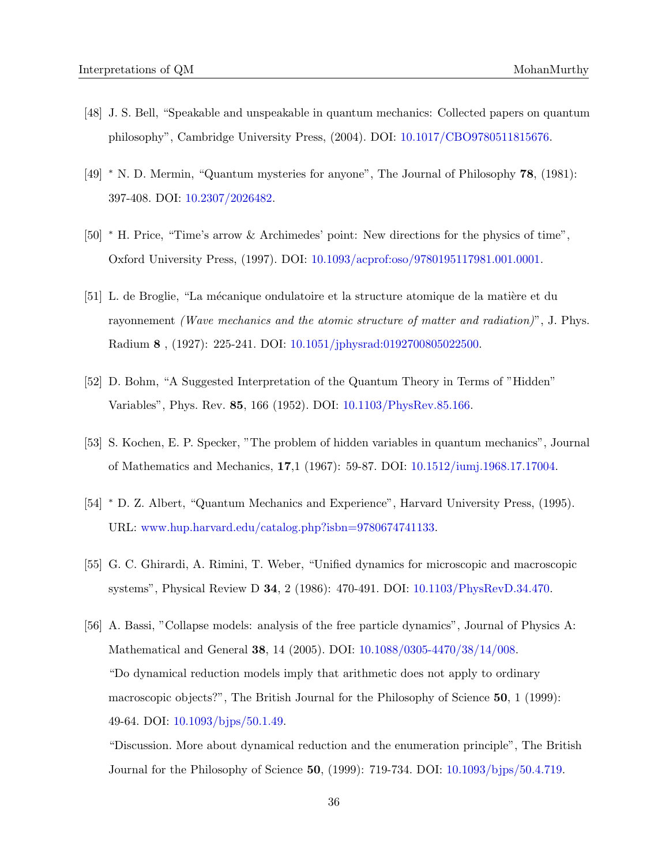- [48] J. S. Bell, "Speakable and unspeakable in quantum mechanics: Collected papers on quantum philosophy", Cambridge University Press, (2004). DOI: [10.1017/CBO9780511815676.](https://doi.org/10.1017/CBO9780511815676)
- [49] \* N. D. Mermin, "Quantum mysteries for anyone", The Journal of Philosophy 78, (1981): 397-408. DOI: [10.2307/2026482.](https://doi.org/10.2307/2026482)
- [50] <sup>∗</sup> H. Price, "Time's arrow & Archimedes' point: New directions for the physics of time", Oxford University Press, (1997). DOI: [10.1093/acprof:oso/9780195117981.001.0001.](https://doi.org/10.1093/acprof:oso/9780195117981.001.0001)
- [51] L. de Broglie, "La mécanique ondulatoire et la structure atomique de la matière et du rayonnement *(Wave mechanics and the atomic structure of matter and radiation)*", J. Phys. Radium 8 , (1927): 225-241. DOI: [10.1051/jphysrad:0192700805022500.](https://doi.org/10.1051/jphysrad:0192700805022500)
- [52] D. Bohm, "A Suggested Interpretation of the Quantum Theory in Terms of "Hidden" Variables", Phys. Rev. 85, 166 (1952). DOI: [10.1103/PhysRev.85.166.](https://doi.org/10.1103/PhysRev.85.166)
- [53] S. Kochen, E. P. Specker, "The problem of hidden variables in quantum mechanics", Journal of Mathematics and Mechanics, 17,1 (1967): 59-87. DOI: [10.1512/iumj.1968.17.17004.](https://doi.org/10.1512/iumj.1968.17.17004)
- [54] <sup>∗</sup> D. Z. Albert, "Quantum Mechanics and Experience", Harvard University Press, (1995). URL: [www.hup.harvard.edu/catalog.php?isbn=9780674741133.](https://www.hup.harvard.edu/catalog.php?isbn=9780674741133)
- [55] G. C. Ghirardi, A. Rimini, T. Weber, "Unified dynamics for microscopic and macroscopic systems", Physical Review D 34, 2 (1986): 470-491. DOI: [10.1103/PhysRevD.34.470.](https://doi.org/10.1103/PhysRevD.34.470)
- [56] A. Bassi, "Collapse models: analysis of the free particle dynamics", Journal of Physics A: Mathematical and General 38, 14 (2005). DOI: [10.1088/0305-4470/38/14/008.](https://doi.org/10.1088/0305-4470/38/14/008) "Do dynamical reduction models imply that arithmetic does not apply to ordinary macroscopic objects?", The British Journal for the Philosophy of Science 50, 1 (1999): 49-64. DOI: [10.1093/bjps/50.1.49.](https://doi.org/10.1093/bjps/50.1.49)

"Discussion. More about dynamical reduction and the enumeration principle", The British Journal for the Philosophy of Science 50, (1999): 719-734. DOI: [10.1093/bjps/50.4.719.](https://doi.org/10.1093/bjps/50.4.719)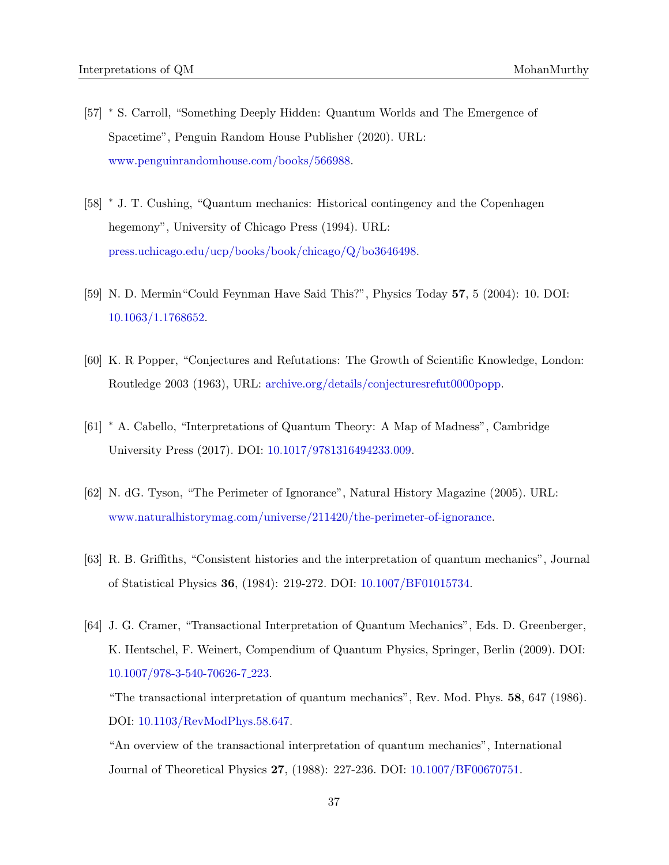- [57] <sup>∗</sup> S. Carroll, "Something Deeply Hidden: Quantum Worlds and The Emergence of Spacetime", Penguin Random House Publisher (2020). URL: [www.penguinrandomhouse.com/books/566988.](https://www.penguinrandomhouse.com/books/566988/something-deeply-hidden-by-sean-carroll/)
- [58] <sup>∗</sup> J. T. Cushing, "Quantum mechanics: Historical contingency and the Copenhagen hegemony", University of Chicago Press (1994). URL: [press.uchicago.edu/ucp/books/book/chicago/Q/bo3646498.](https://press.uchicago.edu/ucp/books/book/chicago/Q/bo3646498.html)
- [59] N. D. Mermin"Could Feynman Have Said This?", Physics Today 57, 5 (2004): 10. DOI: [10.1063/1.1768652.](https://doi.org/10.1063/1.1768652)
- [60] K. R Popper, "Conjectures and Refutations: The Growth of Scientific Knowledge, London: Routledge 2003 (1963), URL: [archive.org/details/conjecturesrefut0000popp.](https://archive.org/details/conjecturesrefut0000popp)
- [61] <sup>∗</sup> A. Cabello, "Interpretations of Quantum Theory: A Map of Madness", Cambridge University Press (2017). DOI: [10.1017/9781316494233.009.](https://doi.org/10.1017/9781316494233.009)
- [62] N. dG. Tyson, "The Perimeter of Ignorance", Natural History Magazine (2005). URL: [www.naturalhistorymag.com/universe/211420/the-perimeter-of-ignorance.](https://www.naturalhistorymag.com/universe/211420/the-perimeter-of-ignorance)
- [63] R. B. Griffiths, "Consistent histories and the interpretation of quantum mechanics", Journal of Statistical Physics 36, (1984): 219-272. DOI: [10.1007/BF01015734.](https://doi.org/10.1007/BF01015734)
- [64] J. G. Cramer, "Transactional Interpretation of Quantum Mechanics", Eds. D. Greenberger, K. Hentschel, F. Weinert, Compendium of Quantum Physics, Springer, Berlin (2009). DOI: [10.1007/978-3-540-70626-7](https://doi.org/10.1007/978-3-540-70626-7_223) 223.

"The transactional interpretation of quantum mechanics", Rev. Mod. Phys. 58, 647 (1986). DOI: [10.1103/RevModPhys.58.647.](https://doi.org/10.1103/RevModPhys.58.647)

"An overview of the transactional interpretation of quantum mechanics", International Journal of Theoretical Physics 27, (1988): 227-236. DOI: [10.1007/BF00670751.](https://doi.org/10.1007/BF00670751)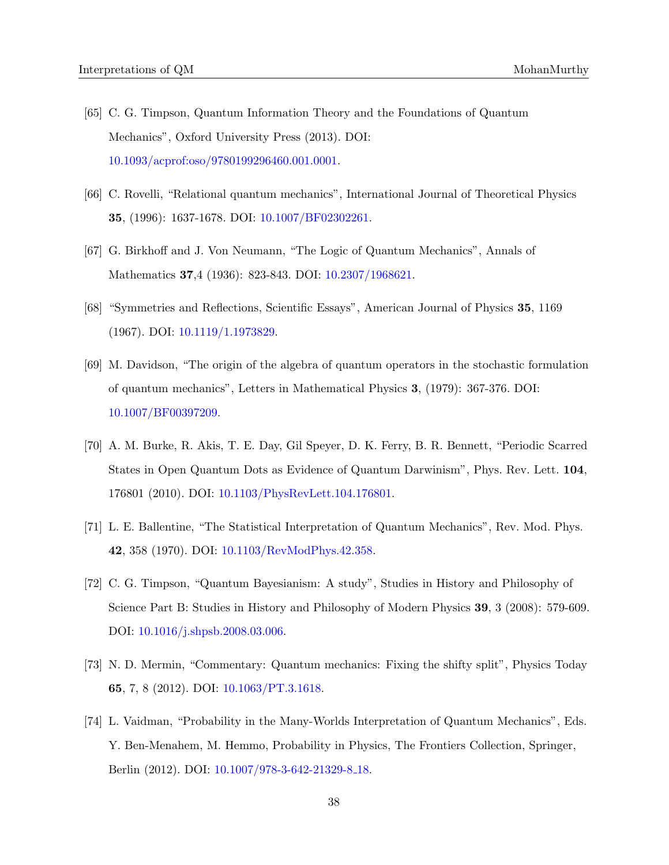- [65] C. G. Timpson, Quantum Information Theory and the Foundations of Quantum Mechanics", Oxford University Press (2013). DOI: [10.1093/acprof:oso/9780199296460.001.0001.](https://doi.org/10.1093/acprof:oso/9780199296460.001.0001)
- [66] C. Rovelli, "Relational quantum mechanics", International Journal of Theoretical Physics 35, (1996): 1637-1678. DOI: [10.1007/BF02302261.](https://doi.org/10.1007/BF02302261)
- [67] G. Birkhoff and J. Von Neumann, "The Logic of Quantum Mechanics", Annals of Mathematics 37,4 (1936): 823-843. DOI: [10.2307/1968621.](https://doi.org/10.2307/1968621)
- [68] "Symmetries and Reflections, Scientific Essays", American Journal of Physics 35, 1169 (1967). DOI: [10.1119/1.1973829.](https://doi.org/10.1119/1.1973829)
- [69] M. Davidson, "The origin of the algebra of quantum operators in the stochastic formulation of quantum mechanics", Letters in Mathematical Physics 3, (1979): 367-376. DOI: [10.1007/BF00397209.](https://doi.org/10.1007/BF00397209)
- [70] A. M. Burke, R. Akis, T. E. Day, Gil Speyer, D. K. Ferry, B. R. Bennett, "Periodic Scarred States in Open Quantum Dots as Evidence of Quantum Darwinism", Phys. Rev. Lett. 104, 176801 (2010). DOI: [10.1103/PhysRevLett.104.176801.](https://doi.org/10.1103/PhysRevLett.104.176801)
- [71] L. E. Ballentine, "The Statistical Interpretation of Quantum Mechanics", Rev. Mod. Phys. 42, 358 (1970). DOI: [10.1103/RevModPhys.42.358.](https://doi.org/10.1103/RevModPhys.42.358)
- [72] C. G. Timpson, "Quantum Bayesianism: A study", Studies in History and Philosophy of Science Part B: Studies in History and Philosophy of Modern Physics 39, 3 (2008): 579-609. DOI: [10.1016/j.shpsb.2008.03.006.](https://doi.org/10.1016/j.shpsb.2008.03.006)
- [73] N. D. Mermin, "Commentary: Quantum mechanics: Fixing the shifty split", Physics Today 65, 7, 8 (2012). DOI: [10.1063/PT.3.1618.](https://doi.org/10.1063/PT.3.1618)
- [74] L. Vaidman, "Probability in the Many-Worlds Interpretation of Quantum Mechanics", Eds. Y. Ben-Menahem, M. Hemmo, Probability in Physics, The Frontiers Collection, Springer, Berlin (2012). DOI: [10.1007/978-3-642-21329-8](https://doi.org/10.1007/978-3-642-21329-8_18) 18.